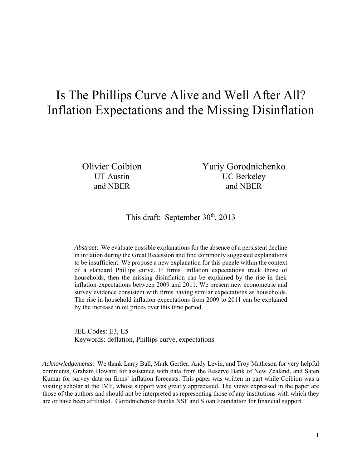# Is The Phillips Curve Alive and Well After All? Inflation Expectations and the Missing Disinflation

UT Austin and NBER

Olivier Coibion Yuriy Gorodnichenko UC Berkeley and NBER

### This draft: September 30<sup>th</sup>, 2013

*Abstract*: We evaluate possible explanations for the absence of a persistent decline in inflation during the Great Recession and find commonly suggested explanations to be insufficient. We propose a new explanation for this puzzle within the context of a standard Phillips curve. If firms' inflation expectations track those of households, then the missing disinflation can be explained by the rise in their inflation expectations between 2009 and 2011. We present new econometric and survey evidence consistent with firms having similar expectations as households. The rise in household inflation expectations from 2009 to 2011 can be explained by the increase in oil prices over this time period.

JEL Codes: E3, E5 Keywords: deflation, Phillips curve, expectations

*Acknowledgements*: We thank Larry Ball, Mark Gertler, Andy Levin, and Troy Matheson for very helpful comments, Graham Howard for assistance with data from the Reserve Bank of New Zealand, and Saten Kumar for survey data on firms' inflation forecasts. This paper was written in part while Coibion was a visiting scholar at the IMF, whose support was greatly appreciated. The views expressed in the paper are those of the authors and should not be interpreted as representing those of any institutions with which they are or have been affiliated. Gorodnichenko thanks NSF and Sloan Foundation for financial support.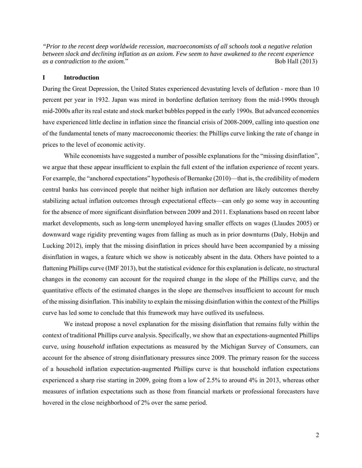*"Prior to the recent deep worldwide recession, macroeconomists of all schools took a negative relation between slack and declining inflation as an axiom. Few seem to have awakened to the recent experience as a contradiction to the axiom.*" Bob Hall (2013)

#### **I Introduction**

During the Great Depression, the United States experienced devastating levels of deflation - more than 10 percent per year in 1932. Japan was mired in borderline deflation territory from the mid-1990s through mid-2000s after its real estate and stock market bubbles popped in the early 1990s. But advanced economies have experienced little decline in inflation since the financial crisis of 2008-2009, calling into question one of the fundamental tenets of many macroeconomic theories: the Phillips curve linking the rate of change in prices to the level of economic activity.

 While economists have suggested a number of possible explanations for the "missing disinflation", we argue that these appear insufficient to explain the full extent of the inflation experience of recent years. For example, the "anchored expectations" hypothesis of Bernanke (2010)—that is, the credibility of modern central banks has convinced people that neither high inflation nor deflation are likely outcomes thereby stabilizing actual inflation outcomes through expectational effects—can only go some way in accounting for the absence of more significant disinflation between 2009 and 2011. Explanations based on recent labor market developments, such as long-term unemployed having smaller effects on wages (Llaudes 2005) or downward wage rigidity preventing wages from falling as much as in prior downturns (Daly, Hobijn and Lucking 2012), imply that the missing disinflation in prices should have been accompanied by a missing disinflation in wages, a feature which we show is noticeably absent in the data. Others have pointed to a flattening Phillips curve (IMF 2013), but the statistical evidence for this explanation is delicate, no structural changes in the economy can account for the required change in the slope of the Phillips curve, and the quantitative effects of the estimated changes in the slope are themselves insufficient to account for much of the missing disinflation. This inability to explain the missing disinflation within the context of the Phillips curve has led some to conclude that this framework may have outlived its usefulness.

 We instead propose a novel explanation for the missing disinflation that remains fully within the context of traditional Phillips curve analysis. Specifically, we show that an expectations-augmented Phillips curve, using *household* inflation expectations as measured by the Michigan Survey of Consumers, can account for the absence of strong disinflationary pressures since 2009. The primary reason for the success of a household inflation expectation-augmented Phillips curve is that household inflation expectations experienced a sharp rise starting in 2009, going from a low of 2.5% to around 4% in 2013, whereas other measures of inflation expectations such as those from financial markets or professional forecasters have hovered in the close neighborhood of 2% over the same period.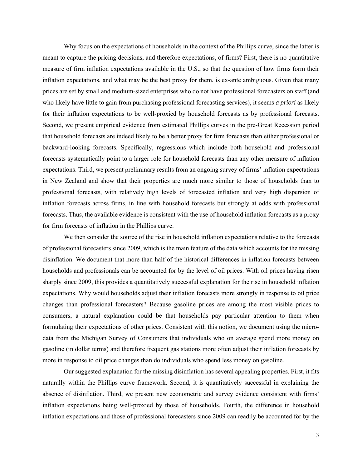Why focus on the expectations of households in the context of the Phillips curve, since the latter is meant to capture the pricing decisions, and therefore expectations, of firms? First, there is no quantitative measure of firm inflation expectations available in the U.S., so that the question of how firms form their inflation expectations, and what may be the best proxy for them, is ex-ante ambiguous. Given that many prices are set by small and medium-sized enterprises who do not have professional forecasters on staff (and who likely have little to gain from purchasing professional forecasting services), it seems *a priori* as likely for their inflation expectations to be well-proxied by household forecasts as by professional forecasts. Second, we present empirical evidence from estimated Phillips curves in the pre-Great Recession period that household forecasts are indeed likely to be a better proxy for firm forecasts than either professional or backward-looking forecasts. Specifically, regressions which include both household and professional forecasts systematically point to a larger role for household forecasts than any other measure of inflation expectations. Third, we present preliminary results from an ongoing survey of firms' inflation expectations in New Zealand and show that their properties are much more similar to those of households than to professional forecasts, with relatively high levels of forecasted inflation and very high dispersion of inflation forecasts across firms, in line with household forecasts but strongly at odds with professional forecasts. Thus, the available evidence is consistent with the use of household inflation forecasts as a proxy for firm forecasts of inflation in the Phillips curve.

 We then consider the source of the rise in household inflation expectations relative to the forecasts of professional forecasters since 2009, which is the main feature of the data which accounts for the missing disinflation. We document that more than half of the historical differences in inflation forecasts between households and professionals can be accounted for by the level of oil prices. With oil prices having risen sharply since 2009, this provides a quantitatively successful explanation for the rise in household inflation expectations. Why would households adjust their inflation forecasts more strongly in response to oil price changes than professional forecasters? Because gasoline prices are among the most visible prices to consumers, a natural explanation could be that households pay particular attention to them when formulating their expectations of other prices. Consistent with this notion, we document using the microdata from the Michigan Survey of Consumers that individuals who on average spend more money on gasoline (in dollar terms) and therefore frequent gas stations more often adjust their inflation forecasts by more in response to oil price changes than do individuals who spend less money on gasoline.

 Our suggested explanation for the missing disinflation has several appealing properties. First, it fits naturally within the Phillips curve framework. Second, it is quantitatively successful in explaining the absence of disinflation. Third, we present new econometric and survey evidence consistent with firms' inflation expectations being well-proxied by those of households. Fourth, the difference in household inflation expectations and those of professional forecasters since 2009 can readily be accounted for by the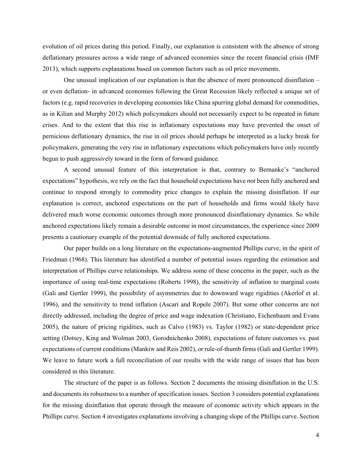evolution of oil prices during this period. Finally, our explanation is consistent with the absence of strong deflationary pressures across a wide range of advanced economies since the recent financial crisis (IMF 2013), which supports explanations based on common factors such as oil price movements.

 One unusual implication of our explanation is that the absence of more pronounced disinflation – or even deflation- in advanced economies following the Great Recession likely reflected a unique set of factors (e.g. rapid recoveries in developing economies like China spurring global demand for commodities, as in Kilian and Murphy 2012) which policymakers should not necessarily expect to be repeated in future crises. And to the extent that this rise in inflationary expectations may have prevented the onset of pernicious deflationary dynamics, the rise in oil prices should perhaps be interpreted as a lucky break for policymakers, generating the very rise in inflationary expectations which policymakers have only recently begun to push aggressively toward in the form of forward guidance.

A second unusual feature of this interpretation is that, contrary to Bernanke's "anchored expectations" hypothesis, we rely on the fact that household expectations have *not* been fully anchored and continue to respond strongly to commodity price changes to explain the missing disinflation. If our explanation is correct, anchored expectations on the part of households and firms would likely have delivered much worse economic outcomes through more pronounced disinflationary dynamics. So while anchored expectations likely remain a desirable outcome in most circumstances, the experience since 2009 presents a cautionary example of the potential downside of fully anchored expectations.

Our paper builds on a long literature on the expectations-augmented Phillips curve, in the spirit of Friedman (1968). This literature has identified a number of potential issues regarding the estimation and interpretation of Phillips curve relationships. We address some of these concerns in the paper, such as the importance of using real-time expectations (Roberts 1998), the sensitivity of inflation to marginal costs (Gali and Gertler 1999), the possibility of asymmetries due to downward wage rigidities (Akerlof et al. 1996), and the sensitivity to trend inflation (Ascari and Ropele 2007). But some other concerns are not directly addressed, including the degree of price and wage indexation (Christiano, Eichenbaum and Evans 2005), the nature of pricing rigidities, such as Calvo (1983) vs. Taylor (1982) or state-dependent price setting (Dotsey, King and Wolman 2003, Gorodnichenko 2008), expectations of future outcomes vs. past expectations of current conditions (Mankiw and Reis 2002), or rule-of-thumb firms (Gali and Gertler 1999). We leave to future work a full reconciliation of our results with the wide range of issues that has been considered in this literature.

 The structure of the paper is as follows. Section 2 documents the missing disinflation in the U.S. and documents its robustness to a number of specification issues. Section 3 considers potential explanations for the missing disinflation that operate through the measure of economic activity which appears in the Phillips curve. Section 4 investigates explanations involving a changing slope of the Phillips curve. Section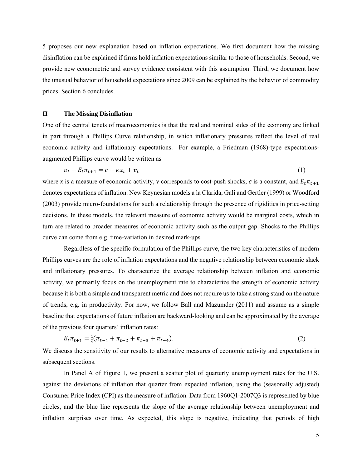5 proposes our new explanation based on inflation expectations. We first document how the missing disinflation can be explained if firms hold inflation expectations similar to those of households. Second, we provide new econometric and survey evidence consistent with this assumption. Third, we document how the unusual behavior of household expectations since 2009 can be explained by the behavior of commodity prices. Section 6 concludes.

#### **II The Missing Disinflation**

One of the central tenets of macroeconomics is that the real and nominal sides of the economy are linked in part through a Phillips Curve relationship, in which inflationary pressures reflect the level of real economic activity and inflationary expectations. For example, a Friedman (1968)-type expectationsaugmented Phillips curve would be written as

$$
\pi_t - E_t \pi_{t+1} = c + \kappa x_t + \nu_t \tag{1}
$$

where *x* is a measure of economic activity, *v* corresponds to cost-push shocks, *c* is a constant, and  $E_t \pi_{t+1}$ denotes expectations of inflation. New Keynesian models a la Clarida, Gali and Gertler (1999) or Woodford (2003) provide micro-foundations for such a relationship through the presence of rigidities in price-setting decisions. In these models, the relevant measure of economic activity would be marginal costs, which in turn are related to broader measures of economic activity such as the output gap. Shocks to the Phillips curve can come from e.g. time-variation in desired mark-ups.

 Regardless of the specific formulation of the Phillips curve, the two key characteristics of modern Phillips curves are the role of inflation expectations and the negative relationship between economic slack and inflationary pressures. To characterize the average relationship between inflation and economic activity, we primarily focus on the unemployment rate to characterize the strength of economic activity because it is both a simple and transparent metric and does not require us to take a strong stand on the nature of trends, e.g. in productivity. For now, we follow Ball and Mazumder (2011) and assume as a simple baseline that expectations of future inflation are backward-looking and can be approximated by the average of the previous four quarters' inflation rates:

$$
E_t \pi_{t+1} = \frac{1}{4} (\pi_{t-1} + \pi_{t-2} + \pi_{t-3} + \pi_{t-4}).
$$
\n(2)

We discuss the sensitivity of our results to alternative measures of economic activity and expectations in subsequent sections.

 In Panel A of Figure 1, we present a scatter plot of quarterly unemployment rates for the U.S. against the deviations of inflation that quarter from expected inflation, using the (seasonally adjusted) Consumer Price Index (CPI) as the measure of inflation. Data from 1960Q1-2007Q3 is represented by blue circles, and the blue line represents the slope of the average relationship between unemployment and inflation surprises over time. As expected, this slope is negative, indicating that periods of high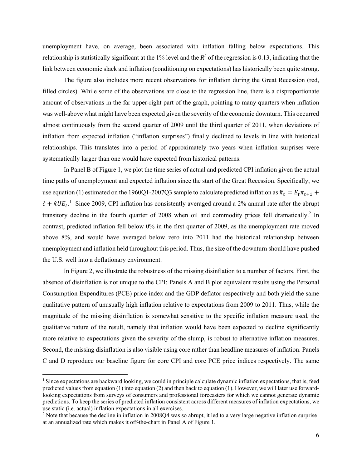unemployment have, on average, been associated with inflation falling below expectations. This relationship is statistically significant at the 1% level and the  $R^2$  of the regression is 0.13, indicating that the link between economic slack and inflation (conditioning on expectations) has historically been quite strong.

 The figure also includes more recent observations for inflation during the Great Recession (red, filled circles). While some of the observations are close to the regression line, there is a disproportionate amount of observations in the far upper-right part of the graph, pointing to many quarters when inflation was well-above what might have been expected given the severity of the economic downturn. This occurred almost continuously from the second quarter of 2009 until the third quarter of 2011, when deviations of inflation from expected inflation ("inflation surprises") finally declined to levels in line with historical relationships. This translates into a period of approximately two years when inflation surprises were systematically larger than one would have expected from historical patterns.

 In Panel B of Figure 1, we plot the time series of actual and predicted CPI inflation given the actual time paths of unemployment and expected inflation since the start of the Great Recession. Specifically, we use equation (1) estimated on the 1960Q1-2007Q3 sample to calculate predicted inflation as  $\hat{\pi}_t = E_t \pi_{t+1}$  +  $\hat{c} + \hat{\kappa} U E_t$ <sup>1</sup>. Since 2009, CPI inflation has consistently averaged around a 2% annual rate after the abrupt transitory decline in the fourth quarter of 2008 when oil and commodity prices fell dramatically.<sup>2</sup> In contrast, predicted inflation fell below 0% in the first quarter of 2009, as the unemployment rate moved above 8%, and would have averaged below zero into 2011 had the historical relationship between unemployment and inflation held throughout this period. Thus, the size of the downturn should have pushed the U.S. well into a deflationary environment.

 In Figure 2, we illustrate the robustness of the missing disinflation to a number of factors. First, the absence of disinflation is not unique to the CPI: Panels A and B plot equivalent results using the Personal Consumption Expenditures (PCE) price index and the GDP deflator respectively and both yield the same qualitative pattern of unusually high inflation relative to expectations from 2009 to 2011. Thus, while the magnitude of the missing disinflation is somewhat sensitive to the specific inflation measure used, the qualitative nature of the result, namely that inflation would have been expected to decline significantly more relative to expectations given the severity of the slump, is robust to alternative inflation measures. Second, the missing disinflation is also visible using core rather than headline measures of inflation. Panels C and D reproduce our baseline figure for core CPI and core PCE price indices respectively. The same

<sup>&</sup>lt;sup>1</sup> Since expectations are backward looking, we could in principle calculate dynamic inflation expectations, that is, feed predicted values from equation (1) into equation (2) and then back to equation (1). However, we will later use forwardlooking expectations from surveys of consumers and professional forecasters for which we cannot generate dynamic predictions. To keep the series of predicted inflation consistent across different measures of inflation expectations, we use static (i.e. actual) inflation expectations in all exercises. 2

<sup>&</sup>lt;sup>2</sup> Note that because the decline in inflation in 2008Q4 was so abrupt, it led to a very large negative inflation surprise at an annualized rate which makes it off-the-chart in Panel A of Figure 1.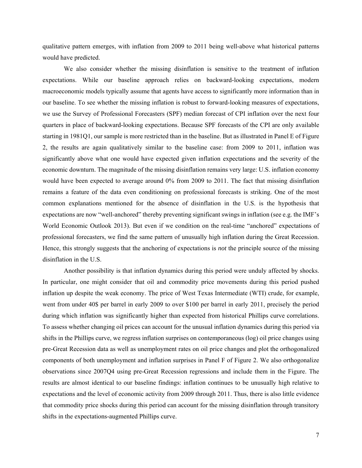qualitative pattern emerges, with inflation from 2009 to 2011 being well-above what historical patterns would have predicted.

 We also consider whether the missing disinflation is sensitive to the treatment of inflation expectations. While our baseline approach relies on backward-looking expectations, modern macroeconomic models typically assume that agents have access to significantly more information than in our baseline. To see whether the missing inflation is robust to forward-looking measures of expectations, we use the Survey of Professional Forecasters (SPF) median forecast of CPI inflation over the next four quarters in place of backward-looking expectations. Because SPF forecasts of the CPI are only available starting in 1981Q1, our sample is more restricted than in the baseline. But as illustrated in Panel E of Figure 2, the results are again qualitatively similar to the baseline case: from 2009 to 2011, inflation was significantly above what one would have expected given inflation expectations and the severity of the economic downturn. The magnitude of the missing disinflation remains very large: U.S. inflation economy would have been expected to average around 0% from 2009 to 2011. The fact that missing disinflation remains a feature of the data even conditioning on professional forecasts is striking. One of the most common explanations mentioned for the absence of disinflation in the U.S. is the hypothesis that expectations are now "well-anchored" thereby preventing significant swings in inflation (see e.g. the IMF's World Economic Outlook 2013). But even if we condition on the real-time "anchored" expectations of professional forecasters, we find the same pattern of unusually high inflation during the Great Recession. Hence, this strongly suggests that the anchoring of expectations is *not* the principle source of the missing disinflation in the U.S.

 Another possibility is that inflation dynamics during this period were unduly affected by shocks. In particular, one might consider that oil and commodity price movements during this period pushed inflation up despite the weak economy. The price of West Texas Intermediate (WTI) crude, for example, went from under 40\$ per barrel in early 2009 to over \$100 per barrel in early 2011, precisely the period during which inflation was significantly higher than expected from historical Phillips curve correlations. To assess whether changing oil prices can account for the unusual inflation dynamics during this period via shifts in the Phillips curve, we regress inflation surprises on contemporaneous (log) oil price changes using pre-Great Recession data as well as unemployment rates on oil price changes and plot the orthogonalized components of both unemployment and inflation surprises in Panel F of Figure 2. We also orthogonalize observations since 2007Q4 using pre-Great Recession regressions and include them in the Figure. The results are almost identical to our baseline findings: inflation continues to be unusually high relative to expectations and the level of economic activity from 2009 through 2011. Thus, there is also little evidence that commodity price shocks during this period can account for the missing disinflation through transitory shifts in the expectations-augmented Phillips curve.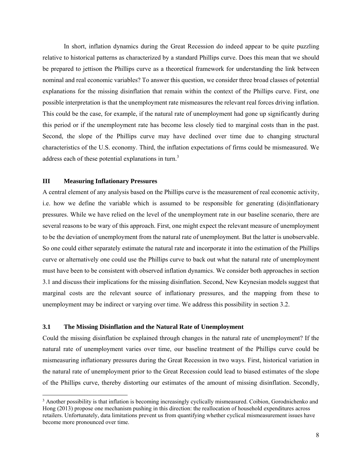In short, inflation dynamics during the Great Recession do indeed appear to be quite puzzling relative to historical patterns as characterized by a standard Phillips curve. Does this mean that we should be prepared to jettison the Phillips curve as a theoretical framework for understanding the link between nominal and real economic variables? To answer this question, we consider three broad classes of potential explanations for the missing disinflation that remain within the context of the Phillips curve. First, one possible interpretation is that the unemployment rate mismeasures the relevant real forces driving inflation. This could be the case, for example, if the natural rate of unemployment had gone up significantly during this period or if the unemployment rate has become less closely tied to marginal costs than in the past. Second, the slope of the Phillips curve may have declined over time due to changing structural characteristics of the U.S. economy. Third, the inflation expectations of firms could be mismeasured. We address each of these potential explanations in turn.<sup>3</sup>

#### **III Measuring Inflationary Pressures**

A central element of any analysis based on the Phillips curve is the measurement of real economic activity, i.e. how we define the variable which is assumed to be responsible for generating (dis)inflationary pressures. While we have relied on the level of the unemployment rate in our baseline scenario, there are several reasons to be wary of this approach. First, one might expect the relevant measure of unemployment to be the deviation of unemployment from the natural rate of unemployment. But the latter is unobservable. So one could either separately estimate the natural rate and incorporate it into the estimation of the Phillips curve or alternatively one could use the Phillips curve to back out what the natural rate of unemployment must have been to be consistent with observed inflation dynamics. We consider both approaches in section 3.1 and discuss their implications for the missing disinflation. Second, New Keynesian models suggest that marginal costs are the relevant source of inflationary pressures, and the mapping from these to unemployment may be indirect or varying over time. We address this possibility in section 3.2.

#### **3.1 The Missing Disinflation and the Natural Rate of Unemployment**

Could the missing disinflation be explained through changes in the natural rate of unemployment? If the natural rate of unemployment varies over time, our baseline treatment of the Phillips curve could be mismeasuring inflationary pressures during the Great Recession in two ways. First, historical variation in the natural rate of unemployment prior to the Great Recession could lead to biased estimates of the slope of the Phillips curve, thereby distorting our estimates of the amount of missing disinflation. Secondly,

<sup>&</sup>lt;sup>3</sup> Another possibility is that inflation is becoming increasingly cyclically mismeasured. Coibion, Gorodnichenko and Hong (2013) propose one mechanism pushing in this direction: the reallocation of household expenditures across retailers. Unfortunately, data limitations prevent us from quantifying whether cyclical mismeasurement issues have become more pronounced over time.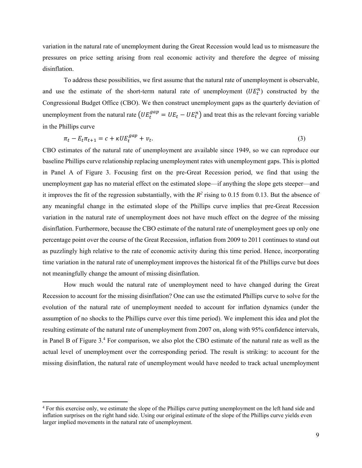variation in the natural rate of unemployment during the Great Recession would lead us to mismeasure the pressures on price setting arising from real economic activity and therefore the degree of missing disinflation.

 To address these possibilities, we first assume that the natural rate of unemployment is observable, and use the estimate of the short-term natural rate of unemployment  $(UE_t^n)$  constructed by the Congressional Budget Office (CBO). We then construct unemployment gaps as the quarterly deviation of unemployment from the natural rate  $(UE_t^{gap} = UE_t - UE_t^n)$  and treat this as the relevant forcing variable in the Phillips curve

$$
\pi_t - E_t \pi_{t+1} = c + \kappa U E_t^{gap} + v_t. \tag{3}
$$

CBO estimates of the natural rate of unemployment are available since 1949, so we can reproduce our baseline Phillips curve relationship replacing unemployment rates with unemployment gaps. This is plotted in Panel A of Figure 3. Focusing first on the pre-Great Recession period, we find that using the unemployment gap has no material effect on the estimated slope—if anything the slope gets steeper—and it improves the fit of the regression substantially, with the  $R^2$  rising to 0.15 from 0.13. But the absence of any meaningful change in the estimated slope of the Phillips curve implies that pre-Great Recession variation in the natural rate of unemployment does not have much effect on the degree of the missing disinflation. Furthermore, because the CBO estimate of the natural rate of unemployment goes up only one percentage point over the course of the Great Recession, inflation from 2009 to 2011 continues to stand out as puzzlingly high relative to the rate of economic activity during this time period. Hence, incorporating time variation in the natural rate of unemployment improves the historical fit of the Phillips curve but does not meaningfully change the amount of missing disinflation.

 How much would the natural rate of unemployment need to have changed during the Great Recession to account for the missing disinflation? One can use the estimated Phillips curve to solve for the evolution of the natural rate of unemployment needed to account for inflation dynamics (under the assumption of no shocks to the Phillips curve over this time period). We implement this idea and plot the resulting estimate of the natural rate of unemployment from 2007 on, along with 95% confidence intervals, in Panel B of Figure 3.<sup>4</sup> For comparison, we also plot the CBO estimate of the natural rate as well as the actual level of unemployment over the corresponding period. The result is striking: to account for the missing disinflation, the natural rate of unemployment would have needed to track actual unemployment

<sup>4</sup> For this exercise only, we estimate the slope of the Phillips curve putting unemployment on the left hand side and inflation surprises on the right hand side. Using our original estimate of the slope of the Phillips curve yields even larger implied movements in the natural rate of unemployment.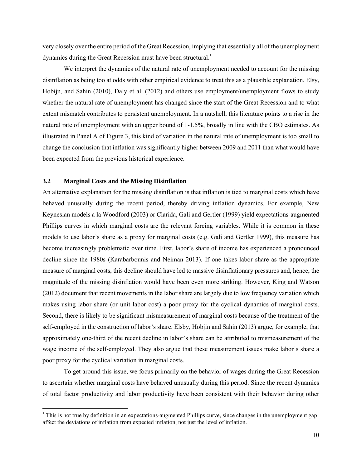very closely over the entire period of the Great Recession, implying that essentially all of the unemployment dynamics during the Great Recession must have been structural.<sup>5</sup>

 We interpret the dynamics of the natural rate of unemployment needed to account for the missing disinflation as being too at odds with other empirical evidence to treat this as a plausible explanation. Elsy, Hobijn, and Sahin (2010), Daly et al. (2012) and others use employment/unemployment flows to study whether the natural rate of unemployment has changed since the start of the Great Recession and to what extent mismatch contributes to persistent unemployment. In a nutshell, this literature points to a rise in the natural rate of unemployment with an upper bound of 1-1.5%, broadly in line with the CBO estimates. As illustrated in Panel A of Figure 3, this kind of variation in the natural rate of unemployment is too small to change the conclusion that inflation was significantly higher between 2009 and 2011 than what would have been expected from the previous historical experience.

#### **3.2 Marginal Costs and the Missing Disinflation**

An alternative explanation for the missing disinflation is that inflation is tied to marginal costs which have behaved unusually during the recent period, thereby driving inflation dynamics. For example, New Keynesian models a la Woodford (2003) or Clarida, Gali and Gertler (1999) yield expectations-augmented Phillips curves in which marginal costs are the relevant forcing variables. While it is common in these models to use labor's share as a proxy for marginal costs (e.g. Gali and Gertler 1999), this measure has become increasingly problematic over time. First, labor's share of income has experienced a pronounced decline since the 1980s (Karabarbounis and Neiman 2013). If one takes labor share as the appropriate measure of marginal costs, this decline should have led to massive disinflationary pressures and, hence, the magnitude of the missing disinflation would have been even more striking. However, King and Watson (2012) document that recent movements in the labor share are largely due to low frequency variation which makes using labor share (or unit labor cost) a poor proxy for the cyclical dynamics of marginal costs. Second, there is likely to be significant mismeasurement of marginal costs because of the treatment of the self-employed in the construction of labor's share. Elsby, Hobjin and Sahin (2013) argue, for example, that approximately one-third of the recent decline in labor's share can be attributed to mismeasurement of the wage income of the self-employed. They also argue that these measurement issues make labor's share a poor proxy for the cyclical variation in marginal costs.

 To get around this issue, we focus primarily on the behavior of wages during the Great Recession to ascertain whether marginal costs have behaved unusually during this period. Since the recent dynamics of total factor productivity and labor productivity have been consistent with their behavior during other

<sup>&</sup>lt;sup>5</sup> This is not true by definition in an expectations-augmented Phillips curve, since changes in the unemployment gap affect the deviations of inflation from expected inflation, not just the level of inflation.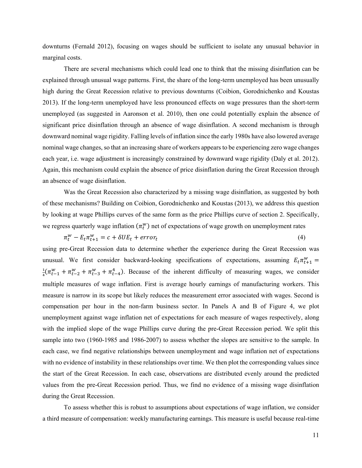downturns (Fernald 2012), focusing on wages should be sufficient to isolate any unusual behavior in marginal costs.

 There are several mechanisms which could lead one to think that the missing disinflation can be explained through unusual wage patterns. First, the share of the long-term unemployed has been unusually high during the Great Recession relative to previous downturns (Coibion, Gorodnichenko and Koustas 2013). If the long-term unemployed have less pronounced effects on wage pressures than the short-term unemployed (as suggested in Aaronson et al. 2010), then one could potentially explain the absence of significant price disinflation through an absence of wage disinflation. A second mechanism is through downward nominal wage rigidity. Falling levels of inflation since the early 1980s have also lowered average nominal wage changes, so that an increasing share of workers appears to be experiencing zero wage changes each year, i.e. wage adjustment is increasingly constrained by downward wage rigidity (Daly et al. 2012). Again, this mechanism could explain the absence of price disinflation during the Great Recession through an absence of wage disinflation.

 Was the Great Recession also characterized by a missing wage disinflation, as suggested by both of these mechanisms? Building on Coibion, Gorodnichenko and Koustas (2013), we address this question by looking at wage Phillips curves of the same form as the price Phillips curve of section 2. Specifically, we regress quarterly wage inflation  $(\pi_t^w)$  net of expectations of wage growth on unemployment rates

$$
\pi_t^w - E_t \pi_{t+1}^w = c + \delta U E_t + error_t \tag{4}
$$

using pre-Great Recession data to determine whether the experience during the Great Recession was unusual. We first consider backward-looking specifications of expectations, assuming  $E_t \pi_{t+1}^w =$ భ  $\frac{1}{4}(\pi_{t-1}^w + \pi_{t-2}^w + \pi_{t-3}^w + \pi_{t-4}^4)$ . Because of the inherent difficulty of measuring wages, we consider multiple measures of wage inflation. First is average hourly earnings of manufacturing workers. This measure is narrow in its scope but likely reduces the measurement error associated with wages. Second is compensation per hour in the non-farm business sector. In Panels A and B of Figure 4, we plot unemployment against wage inflation net of expectations for each measure of wages respectively, along with the implied slope of the wage Phillips curve during the pre-Great Recession period. We split this sample into two (1960-1985 and 1986-2007) to assess whether the slopes are sensitive to the sample. In each case, we find negative relationships between unemployment and wage inflation net of expectations with no evidence of instability in these relationships over time. We then plot the corresponding values since the start of the Great Recession. In each case, observations are distributed evenly around the predicted values from the pre-Great Recession period. Thus, we find no evidence of a missing wage disinflation during the Great Recession.

 To assess whether this is robust to assumptions about expectations of wage inflation, we consider a third measure of compensation: weekly manufacturing earnings. This measure is useful because real-time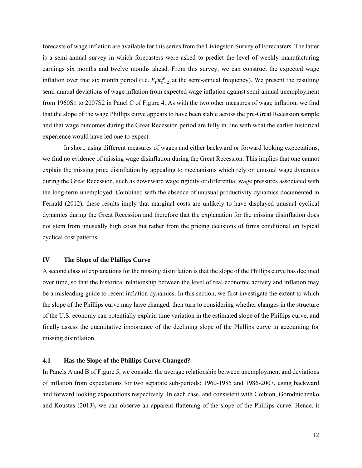forecasts of wage inflation are available for this series from the Livingston Survey of Forecasters. The latter is a semi-annual survey in which forecasters were asked to predict the level of weekly manufacturing earnings six months and twelve months ahead. From this survey, we can construct the expected wage inflation over that six month period (i.e.  $E_t \pi_{t+2}^w$  at the semi-annual frequency). We present the resulting semi-annual deviations of wage inflation from expected wage inflation against semi-annual unemployment from 1960S1 to 2007S2 in Panel C of Figure 4. As with the two other measures of wage inflation, we find that the slope of the wage Phillips curve appears to have been stable across the pre-Great Recession sample and that wage outcomes during the Great Recession period are fully in line with what the earlier historical experience would have led one to expect.

In short, using different measures of wages and either backward or forward looking expectations, we find no evidence of missing wage disinflation during the Great Recession. This implies that one cannot explain the missing price disinflation by appealing to mechanisms which rely on unusual wage dynamics during the Great Recession, such as downward wage rigidity or differential wage pressures associated with the long-term unemployed. Combined with the absence of unusual productivity dynamics documented in Fernald (2012), these results imply that marginal costs are unlikely to have displayed unusual cyclical dynamics during the Great Recession and therefore that the explanation for the missing disinflation does not stem from unusually high costs but rather from the pricing decisions of firms conditional on typical cyclical cost patterns.

#### **IV The Slope of the Phillips Curve**

A second class of explanations for the missing disinflation is that the slope of the Phillips curve has declined over time, so that the historical relationship between the level of real economic activity and inflation may be a misleading guide to recent inflation dynamics. In this section, we first investigate the extent to which the slope of the Phillips curve may have changed, then turn to considering whether changes in the structure of the U.S. economy can potentially explain time variation in the estimated slope of the Phillips curve, and finally assess the quantitative importance of the declining slope of the Phillips curve in accounting for missing disinflation.

#### **4.1 Has the Slope of the Phillips Curve Changed?**

In Panels A and B of Figure 5, we consider the average relationship between unemployment and deviations of inflation from expectations for two separate sub-periods: 1960-1985 and 1986-2007, using backward and forward looking expectations respectively. In each case, and consistent with Coibion, Gorodnichenko and Koustas (2013), we can observe an apparent flattening of the slope of the Phillips curve. Hence, it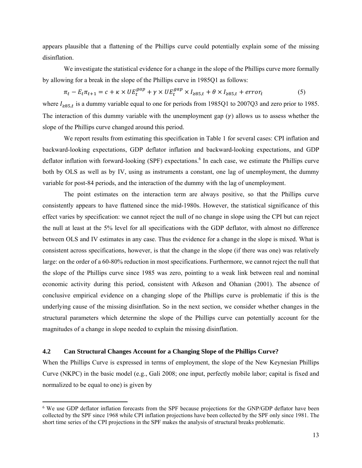appears plausible that a flattening of the Phillips curve could potentially explain some of the missing disinflation.

 We investigate the statistical evidence for a change in the slope of the Phillips curve more formally by allowing for a break in the slope of the Phillips curve in 1985Q1 as follows:

$$
\pi_t - E_t \pi_{t+1} = c + \kappa \times UE_t^{gap} + \gamma \times UE_t^{gap} \times I_{\geq 85,t} + \theta \times I_{\geq 85,t} + error_t
$$
\n
$$
\tag{5}
$$

where  $I_{\geq 85,t}$  is a dummy variable equal to one for periods from 1985Q1 to 2007Q3 and zero prior to 1985. The interaction of this dummy variable with the unemployment gap  $(\gamma)$  allows us to assess whether the slope of the Phillips curve changed around this period.

 We report results from estimating this specification in Table 1 for several cases: CPI inflation and backward-looking expectations, GDP deflator inflation and backward-looking expectations, and GDP deflator inflation with forward-looking (SPF) expectations.<sup>6</sup> In each case, we estimate the Phillips curve both by OLS as well as by IV, using as instruments a constant, one lag of unemployment, the dummy variable for post-84 periods, and the interaction of the dummy with the lag of unemployment.

 The point estimates on the interaction term are always positive, so that the Phillips curve consistently appears to have flattened since the mid-1980s. However, the statistical significance of this effect varies by specification: we cannot reject the null of no change in slope using the CPI but can reject the null at least at the 5% level for all specifications with the GDP deflator, with almost no difference between OLS and IV estimates in any case. Thus the evidence for a change in the slope is mixed. What is consistent across specifications, however, is that the change in the slope (if there was one) was relatively large: on the order of a 60-80% reduction in most specifications. Furthermore, we cannot reject the null that the slope of the Phillips curve since 1985 was zero, pointing to a weak link between real and nominal economic activity during this period, consistent with Atkeson and Ohanian (2001). The absence of conclusive empirical evidence on a changing slope of the Phillips curve is problematic if this is the underlying cause of the missing disinflation. So in the next section, we consider whether changes in the structural parameters which determine the slope of the Phillips curve can potentially account for the magnitudes of a change in slope needed to explain the missing disinflation.

#### **4.2 Can Structural Changes Account for a Changing Slope of the Phillips Curve?**

When the Phillips Curve is expressed in terms of employment, the slope of the New Keynesian Phillips Curve (NKPC) in the basic model (e.g., Gali 2008; one input, perfectly mobile labor; capital is fixed and normalized to be equal to one) is given by

<sup>&</sup>lt;sup>6</sup> We use GDP deflator inflation forecasts from the SPF because projections for the GNP/GDP deflator have been collected by the SPF since 1968 while CPI inflation projections have been collected by the SPF only since 1981. The short time series of the CPI projections in the SPF makes the analysis of structural breaks problematic.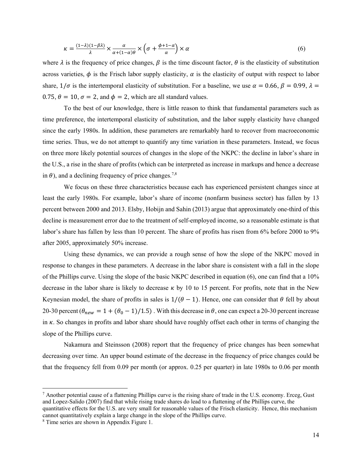$$
\kappa = \frac{(1-\lambda)(1-\beta\lambda)}{\lambda} \times \frac{\alpha}{\alpha + (1-\alpha)\theta} \times \left(\sigma + \frac{\phi+1-\alpha}{\alpha}\right) \times \alpha \tag{6}
$$

where  $\lambda$  is the frequency of price changes,  $\beta$  is the time discount factor,  $\theta$  is the elasticity of substitution across varieties,  $\phi$  is the Frisch labor supply elasticity,  $\alpha$  is the elasticity of output with respect to labor share,  $1/\sigma$  is the intertemporal elasticity of substitution. For a baseline, we use  $\alpha = 0.66$ ,  $\beta = 0.99$ ,  $\lambda =$ 0.75,  $\theta = 10$ ,  $\sigma = 2$ , and  $\phi = 2$ , which are all standard values.

To the best of our knowledge, there is little reason to think that fundamental parameters such as time preference, the intertemporal elasticity of substitution, and the labor supply elasticity have changed since the early 1980s. In addition, these parameters are remarkably hard to recover from macroeconomic time series. Thus, we do not attempt to quantify any time variation in these parameters. Instead, we focus on three more likely potential sources of changes in the slope of the NKPC: the decline in labor's share in the U.S., a rise in the share of profits (which can be interpreted as increase in markups and hence a decrease in  $\theta$ ), and a declining frequency of price changes.<sup>7,8</sup>

We focus on these three characteristics because each has experienced persistent changes since at least the early 1980s. For example, labor's share of income (nonfarm business sector) has fallen by 13 percent between 2000 and 2013. Elsby, Hobijn and Sahin (2013) argue that approximately one-third of this decline is measurement error due to the treatment of self-employed income, so a reasonable estimate is that labor's share has fallen by less than 10 percent. The share of profits has risen from 6% before 2000 to 9% after 2005, approximately 50% increase.

Using these dynamics, we can provide a rough sense of how the slope of the NKPC moved in response to changes in these parameters. A decrease in the labor share is consistent with a fall in the slope of the Phillips curve. Using the slope of the basic NKPC described in equation (6), one can find that a 10% decrease in the labor share is likely to decrease  $\kappa$  by 10 to 15 percent. For profits, note that in the New Keynesian model, the share of profits in sales is  $1/((\theta - 1))$ . Hence, one can consider that  $\theta$  fell by about 20-30 percent ( $\theta_{new} = 1 + (\theta_0 - 1)/1.5$ ). With this decrease in  $\theta$ , one can expect a 20-30 percent increase in  $\kappa$ . So changes in profits and labor share should have roughly offset each other in terms of changing the slope of the Phillips curve.

Nakamura and Steinsson (2008) report that the frequency of price changes has been somewhat decreasing over time. An upper bound estimate of the decrease in the frequency of price changes could be that the frequency fell from 0.09 per month (or approx. 0.25 per quarter) in late 1980s to 0.06 per month

<sup>7</sup> Another potential cause of a flattening Phillips curve is the rising share of trade in the U.S. economy. Erceg, Gust and Lopez-Salido (2007) find that while rising trade shares do lead to a flattening of the Phillips curve, the quantitative effects for the U.S. are very small for reasonable values of the Frisch elasticity. Hence, this mechanism cannot quantitatively explain a large change in the slope of the Phillips curve.

<sup>8</sup> Time series are shown in Appendix Figure 1.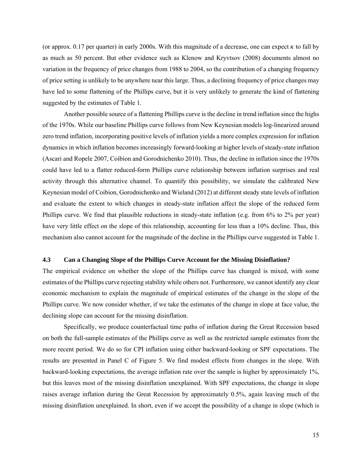(or approx. 0.17 per quarter) in early 2000s. With this magnitude of a decrease, one can expect  $\kappa$  to fall by as much as 50 percent. But other evidence such as Klenow and Kryvtsov (2008) documents almost no variation in the frequency of price changes from 1988 to 2004, so the contribution of a changing frequency of price setting is unlikely to be anywhere near this large. Thus, a declining frequency of price changes may have led to some flattening of the Phillips curve, but it is very unlikely to generate the kind of flattening suggested by the estimates of Table 1.

Another possible source of a flattening Phillips curve is the decline in trend inflation since the highs of the 1970s. While our baseline Phillips curve follows from New Keynesian models log-linearized around zero trend inflation, incorporating positive levels of inflation yields a more complex expression for inflation dynamics in which inflation becomes increasingly forward-looking at higher levels of steady-state inflation (Ascari and Ropele 2007, Coibion and Gorodnichenko 2010). Thus, the decline in inflation since the 1970s could have led to a flatter reduced-form Phillips curve relationship between inflation surprises and real activity through this alternative channel. To quantify this possibility, we simulate the calibrated New Keynesian model of Coibion, Gorodnichenko and Wieland (2012) at different steady state levels of inflation and evaluate the extent to which changes in steady-state inflation affect the slope of the reduced form Phillips curve. We find that plausible reductions in steady-state inflation (e.g. from 6% to 2% per year) have very little effect on the slope of this relationship, accounting for less than a 10% decline. Thus, this mechanism also cannot account for the magnitude of the decline in the Phillips curve suggested in Table 1.

#### **4.3 Can a Changing Slope of the Phillips Curve Account for the Missing Disinflation?**

The empirical evidence on whether the slope of the Phillips curve has changed is mixed, with some estimates of the Phillips curve rejecting stability while others not. Furthermore, we cannot identify any clear economic mechanism to explain the magnitude of empirical estimates of the change in the slope of the Phillips curve. We now consider whether, if we take the estimates of the change in slope at face value, the declining slope can account for the missing disinflation.

 Specifically, we produce counterfactual time paths of inflation during the Great Recession based on both the full-sample estimates of the Phillips curve as well as the restricted sample estimates from the more recent period. We do so for CPI inflation using either backward-looking or SPF expectations. The results are presented in Panel C of Figure 5. We find modest effects from changes in the slope. With backward-looking expectations, the average inflation rate over the sample is higher by approximately 1%, but this leaves most of the missing disinflation unexplained. With SPF expectations, the change in slope raises average inflation during the Great Recession by approximately 0.5%, again leaving much of the missing disinflation unexplained. In short, even if we accept the possibility of a change in slope (which is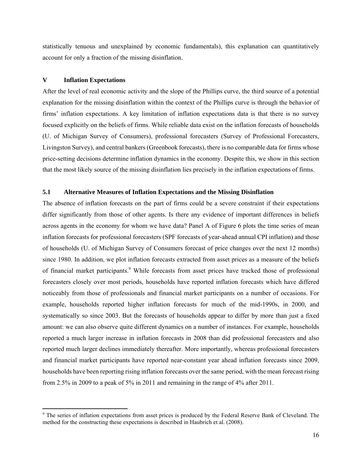statistically tenuous and unexplained by economic fundamentals), this explanation can quantitatively account for only a fraction of the missing disinflation.

#### **V Inflation Expectations**

After the level of real economic activity and the slope of the Phillips curve, the third source of a potential explanation for the missing disinflation within the context of the Phillips curve is through the behavior of firms' inflation expectations. A key limitation of inflation expectations data is that there is no survey focused explicitly on the beliefs of firms. While reliable data exist on the inflation forecasts of households (U. of Michigan Survey of Consumers), professional forecasters (Survey of Professional Forecasters, Livingston Survey), and central bankers (Greenbook forecasts), there is no comparable data for firms whose price-setting decisions determine inflation dynamics in the economy. Despite this, we show in this section that the most likely source of the missing disinflation lies precisely in the inflation expectations of firms.

#### **5.1 Alternative Measures of Inflation Expectations and the Missing Disinflation**

The absence of inflation forecasts on the part of firms could be a severe constraint if their expectations differ significantly from those of other agents. Is there any evidence of important differences in beliefs across agents in the economy for whom we have data? Panel A of Figure 6 plots the time series of mean inflation forecasts for professional forecasters (SPF forecasts of year-ahead annual CPI inflation) and those of households (U. of Michigan Survey of Consumers forecast of price changes over the next 12 months) since 1980. In addition, we plot inflation forecasts extracted from asset prices as a measure of the beliefs of financial market participants.<sup>9</sup> While forecasts from asset prices have tracked those of professional forecasters closely over most periods, households have reported inflation forecasts which have differed noticeably from those of professionals and financial market participants on a number of occasions. For example, households reported higher inflation forecasts for much of the mid-1990s, in 2000, and systematically so since 2003. But the forecasts of households appear to differ by more than just a fixed amount: we can also observe quite different dynamics on a number of instances. For example, households reported a much larger increase in inflation forecasts in 2008 than did professional forecasters and also reported much larger declines immediately thereafter. More importantly, whereas professional forecasters and financial market participants have reported near-constant year ahead inflation forecasts since 2009, households have been reporting rising inflation forecasts over the same period, with the mean forecast rising from 2.5% in 2009 to a peak of 5% in 2011 and remaining in the range of 4% after 2011.

<sup>&</sup>lt;sup>9</sup> The series of inflation expectations from asset prices is produced by the Federal Reserve Bank of Cleveland. The method for the constructing these expectations is described in Haubrich et al. (2008).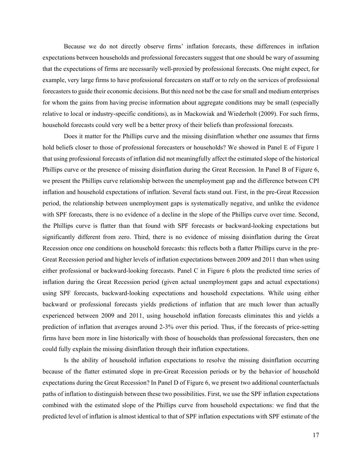Because we do not directly observe firms' inflation forecasts, these differences in inflation expectations between households and professional forecasters suggest that one should be wary of assuming that the expectations of firms are necessarily well-proxied by professional forecasts. One might expect, for example, very large firms to have professional forecasters on staff or to rely on the services of professional forecasters to guide their economic decisions. But this need not be the case for small and medium enterprises for whom the gains from having precise information about aggregate conditions may be small (especially relative to local or industry-specific conditions), as in Mackowiak and Wiederholt (2009). For such firms, household forecasts could very well be a better proxy of their beliefs than professional forecasts.

 Does it matter for the Phillips curve and the missing disinflation whether one assumes that firms hold beliefs closer to those of professional forecasters or households? We showed in Panel E of Figure 1 that using professional forecasts of inflation did not meaningfully affect the estimated slope of the historical Phillips curve or the presence of missing disinflation during the Great Recession. In Panel B of Figure 6, we present the Phillips curve relationship between the unemployment gap and the difference between CPI inflation and household expectations of inflation. Several facts stand out. First, in the pre-Great Recession period, the relationship between unemployment gaps is systematically negative, and unlike the evidence with SPF forecasts, there is no evidence of a decline in the slope of the Phillips curve over time. Second, the Phillips curve is flatter than that found with SPF forecasts or backward-looking expectations but significantly different from zero. Third, there is no evidence of missing disinflation during the Great Recession once one conditions on household forecasts: this reflects both a flatter Phillips curve in the pre-Great Recession period and higher levels of inflation expectations between 2009 and 2011 than when using either professional or backward-looking forecasts. Panel C in Figure 6 plots the predicted time series of inflation during the Great Recession period (given actual unemployment gaps and actual expectations) using SPF forecasts, backward-looking expectations and household expectations. While using either backward or professional forecasts yields predictions of inflation that are much lower than actually experienced between 2009 and 2011, using household inflation forecasts eliminates this and yields a prediction of inflation that averages around 2-3% over this period. Thus, if the forecasts of price-setting firms have been more in line historically with those of households than professional forecasters, then one could fully explain the missing disinflation through their inflation expectations.

 Is the ability of household inflation expectations to resolve the missing disinflation occurring because of the flatter estimated slope in pre-Great Recession periods or by the behavior of household expectations during the Great Recession? In Panel D of Figure 6, we present two additional counterfactuals paths of inflation to distinguish between these two possibilities. First, we use the SPF inflation expectations combined with the estimated slope of the Phillips curve from household expectations: we find that the predicted level of inflation is almost identical to that of SPF inflation expectations with SPF estimate of the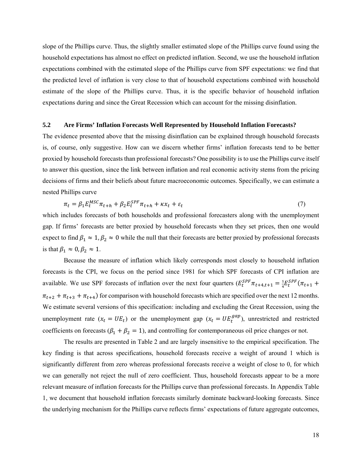slope of the Phillips curve. Thus, the slightly smaller estimated slope of the Phillips curve found using the household expectations has almost no effect on predicted inflation. Second, we use the household inflation expectations combined with the estimated slope of the Phillips curve from SPF expectations: we find that the predicted level of inflation is very close to that of household expectations combined with household estimate of the slope of the Phillips curve. Thus, it is the specific behavior of household inflation expectations during and since the Great Recession which can account for the missing disinflation.

#### **5.2 Are Firms' Inflation Forecasts Well Represented by Household Inflation Forecasts?**

The evidence presented above that the missing disinflation can be explained through household forecasts is, of course, only suggestive. How can we discern whether firms' inflation forecasts tend to be better proxied by household forecasts than professional forecasts? One possibility is to use the Phillips curve itself to answer this question, since the link between inflation and real economic activity stems from the pricing decisions of firms and their beliefs about future macroeconomic outcomes. Specifically, we can estimate a nested Phillips curve

$$
\pi_t = \beta_1 E_t^{MSC} \pi_{t+h} + \beta_2 E_t^{SPF} \pi_{t+h} + \kappa x_t + \varepsilon_t \tag{7}
$$

which includes forecasts of both households and professional forecasters along with the unemployment gap. If firms' forecasts are better proxied by household forecasts when they set prices, then one would expect to find  $\beta_1 \approx 1, \beta_2 \approx 0$  while the null that their forecasts are better proxied by professional forecasts is that  $\beta_1 \approx 0$ ,  $\beta_2 \approx 1$ .

 Because the measure of inflation which likely corresponds most closely to household inflation forecasts is the CPI, we focus on the period since 1981 for which SPF forecasts of CPI inflation are available. We use SPF forecasts of inflation over the next four quarters  $(E_t^{SPF} \pi_{t+4,t+1} = \frac{1}{4} E_t^{SPF}(\pi_{t+1} +$  $\pi_{t+2} + \pi_{t+3} + \pi_{t+4}$ ) for comparison with household forecasts which are specified over the next 12 months. We estimate several versions of this specification: including and excluding the Great Recession, using the unemployment rate  $(x_t = UE_t)$  or the unemployment gap  $(x_t = UE_t^{gap})$ , unrestricted and restricted coefficients on forecasts  $(\beta_1 + \beta_2 = 1)$ , and controlling for contemporaneous oil price changes or not.

The results are presented in Table 2 and are largely insensitive to the empirical specification. The key finding is that across specifications, household forecasts receive a weight of around 1 which is significantly different from zero whereas professional forecasts receive a weight of close to 0, for which we can generally not reject the null of zero coefficient. Thus, household forecasts appear to be a more relevant measure of inflation forecasts for the Phillips curve than professional forecasts. In Appendix Table 1, we document that household inflation forecasts similarly dominate backward-looking forecasts. Since the underlying mechanism for the Phillips curve reflects firms' expectations of future aggregate outcomes,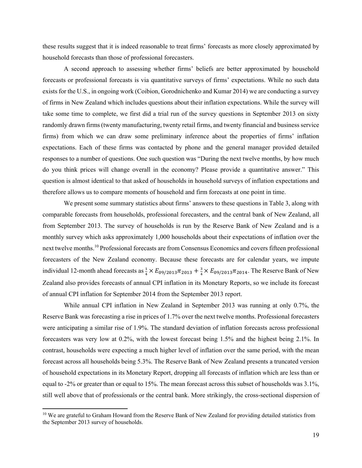these results suggest that it is indeed reasonable to treat firms' forecasts as more closely approximated by household forecasts than those of professional forecasters.

A second approach to assessing whether firms' beliefs are better approximated by household forecasts or professional forecasts is via quantitative surveys of firms' expectations. While no such data exists for the U.S., in ongoing work (Coibion, Gorodnichenko and Kumar 2014) we are conducting a survey of firms in New Zealand which includes questions about their inflation expectations. While the survey will take some time to complete, we first did a trial run of the survey questions in September 2013 on sixty randomly drawn firms (twenty manufacturing, twenty retail firms, and twenty financial and business service firms) from which we can draw some preliminary inference about the properties of firms' inflation expectations. Each of these firms was contacted by phone and the general manager provided detailed responses to a number of questions. One such question was "During the next twelve months, by how much do you think prices will change overall in the economy? Please provide a quantitative answer." This question is almost identical to that asked of households in household surveys of inflation expectations and therefore allows us to compare moments of household and firm forecasts at one point in time.

We present some summary statistics about firms' answers to these questions in Table 3, along with comparable forecasts from households, professional forecasters, and the central bank of New Zealand, all from September 2013. The survey of households is run by the Reserve Bank of New Zealand and is a monthly survey which asks approximately 1,000 households about their expectations of inflation over the next twelve months.10 Professional forecasts are from Consensus Economics and covers fifteen professional forecasters of the New Zealand economy. Because these forecasts are for calendar years, we impute individual 12-month ahead forecasts as  $\frac{1}{4} \times E_{09/2013} \pi_{2013} + \frac{3}{4} \times E_{09/2013} \pi_{2014}$ . The Reserve Bank of New Zealand also provides forecasts of annual CPI inflation in its Monetary Reports, so we include its forecast of annual CPI inflation for September 2014 from the September 2013 report.

While annual CPI inflation in New Zealand in September 2013 was running at only 0.7%, the Reserve Bank was forecasting a rise in prices of 1.7% over the next twelve months. Professional forecasters were anticipating a similar rise of 1.9%. The standard deviation of inflation forecasts across professional forecasters was very low at 0.2%, with the lowest forecast being 1.5% and the highest being 2.1%. In contrast, households were expecting a much higher level of inflation over the same period, with the mean forecast across all households being 5.3%. The Reserve Bank of New Zealand presents a truncated version of household expectations in its Monetary Report, dropping all forecasts of inflation which are less than or equal to -2% or greater than or equal to 15%. The mean forecast across this subset of households was 3.1%, still well above that of professionals or the central bank. More strikingly, the cross-sectional dispersion of

<sup>&</sup>lt;sup>10</sup> We are grateful to Graham Howard from the Reserve Bank of New Zealand for providing detailed statistics from the September 2013 survey of households.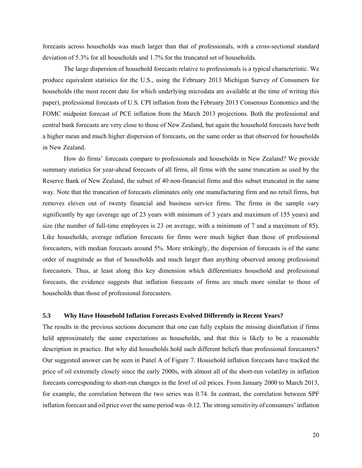forecasts across households was much larger than that of professionals, with a cross-sectional standard deviation of 5.3% for all households and 1.7% for the truncated set of households.

The large dispersion of household forecasts relative to professionals is a typical characteristic. We produce equivalent statistics for the U.S., using the February 2013 Michigan Survey of Consumers for households (the most recent date for which underlying microdata are available at the time of writing this paper), professional forecasts of U.S. CPI inflation from the February 2013 Consensus Economics and the FOMC midpoint forecast of PCE inflation from the March 2013 projections. Both the professional and central bank forecasts are very close to those of New Zealand, but again the household forecasts have both a higher mean and much higher dispersion of forecasts, on the same order as that observed for households in New Zealand.

How do firms' forecasts compare to professionals and households in New Zealand? We provide summary statistics for year-ahead forecasts of all firms, all firms with the same truncation as used by the Reserve Bank of New Zealand, the subset of 40 non-financial firms and this subset truncated in the same way. Note that the truncation of forecasts eliminates only one manufacturing firm and no retail firms, but removes eleven out of twenty financial and business service firms. The firms in the sample vary significantly by age (average age of 23 years with minimum of 3 years and maximum of 155 years) and size (the number of full-time employees is 23 on average, with a minimum of 7 and a maximum of 85). Like households, average inflation forecasts for firms were much higher than those of professional forecasters, with median forecasts around 5%. More strikingly, the dispersion of forecasts is of the same order of magnitude as that of households and much larger than anything observed among professional forecasters. Thus, at least along this key dimension which differentiates household and professional forecasts, the evidence suggests that inflation forecasts of firms are much more similar to those of households than those of professional forecasters.

#### **5.3 Why Have Household Inflation Forecasts Evolved Differently in Recent Years?**

The results in the previous sections document that one can fully explain the missing disinflation if firms held approximately the same expectations as households, and that this is likely to be a reasonable description in practice. But why did households hold such different beliefs than professional forecasters? Our suggested answer can be seen in Panel A of Figure 7. Household inflation forecasts have tracked the price of oil extremely closely since the early 2000s, with almost all of the short-run volatility in inflation forecasts corresponding to short-run changes in the *level* of oil prices. From January 2000 to March 2013, for example, the correlation between the two series was 0.74. In contrast, the correlation between SPF inflation forecast and oil price over the same period was -0.12. The strong sensitivity of consumers' inflation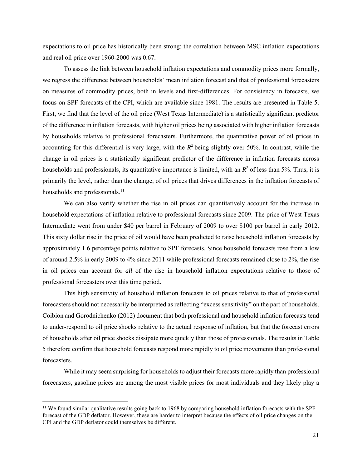expectations to oil price has historically been strong: the correlation between MSC inflation expectations and real oil price over 1960-2000 was 0.67.

 To assess the link between household inflation expectations and commodity prices more formally, we regress the difference between households' mean inflation forecast and that of professional forecasters on measures of commodity prices, both in levels and first-differences. For consistency in forecasts, we focus on SPF forecasts of the CPI, which are available since 1981. The results are presented in Table 5. First, we find that the level of the oil price (West Texas Intermediate) is a statistically significant predictor of the difference in inflation forecasts, with higher oil prices being associated with higher inflation forecasts by households relative to professional forecasters. Furthermore, the quantitative power of oil prices in accounting for this differential is very large, with the *R<sup>2</sup>* being slightly over 50%. In contrast, while the change in oil prices is a statistically significant predictor of the difference in inflation forecasts across households and professionals, its quantitative importance is limited, with an  $R^2$  of less than 5%. Thus, it is primarily the level, rather than the change, of oil prices that drives differences in the inflation forecasts of households and professionals.<sup>11</sup>

 We can also verify whether the rise in oil prices can quantitatively account for the increase in household expectations of inflation relative to professional forecasts since 2009. The price of West Texas Intermediate went from under \$40 per barrel in February of 2009 to over \$100 per barrel in early 2012. This sixty dollar rise in the price of oil would have been predicted to raise household inflation forecasts by approximately 1.6 percentage points relative to SPF forecasts. Since household forecasts rose from a low of around 2.5% in early 2009 to 4% since 2011 while professional forecasts remained close to 2%, the rise in oil prices can account for *all* of the rise in household inflation expectations relative to those of professional forecasters over this time period.

 This high sensitivity of household inflation forecasts to oil prices relative to that of professional forecasters should not necessarily be interpreted as reflecting "excess sensitivity" on the part of households. Coibion and Gorodnichenko (2012) document that both professional and household inflation forecasts tend to under-respond to oil price shocks relative to the actual response of inflation, but that the forecast errors of households after oil price shocks dissipate more quickly than those of professionals. The results in Table 5 therefore confirm that household forecasts respond more rapidly to oil price movements than professional forecasters.

While it may seem surprising for households to adjust their forecasts more rapidly than professional forecasters, gasoline prices are among the most visible prices for most individuals and they likely play a

<sup>&</sup>lt;sup>11</sup> We found similar qualitative results going back to 1968 by comparing household inflation forecasts with the SPF forecast of the GDP deflator. However, these are harder to interpret because the effects of oil price changes on the CPI and the GDP deflator could themselves be different.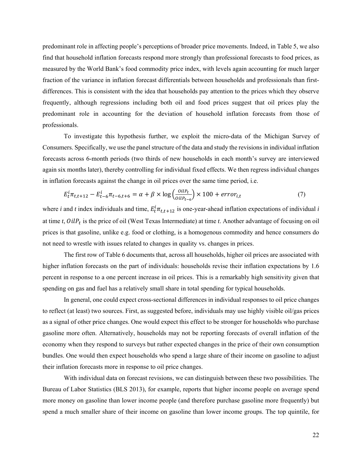predominant role in affecting people's perceptions of broader price movements. Indeed, in Table 5, we also find that household inflation forecasts respond more strongly than professional forecasts to food prices, as measured by the World Bank's food commodity price index, with levels again accounting for much larger fraction of the variance in inflation forecast differentials between households and professionals than firstdifferences. This is consistent with the idea that households pay attention to the prices which they observe frequently, although regressions including both oil and food prices suggest that oil prices play the predominant role in accounting for the deviation of household inflation forecasts from those of professionals.

 To investigate this hypothesis further, we exploit the micro-data of the Michigan Survey of Consumers. Specifically, we use the panel structure of the data and study the revisions in individual inflation forecasts across 6-month periods (two thirds of new households in each month's survey are interviewed again six months later), thereby controlling for individual fixed effects. We then regress individual changes in inflation forecasts against the change in oil prices over the same time period, i.e.

$$
E_t^i \pi_{t,t+12} - E_{t-6}^i \pi_{t-6,t+6} = \alpha + \beta \times \log \left( \frac{o_{il} P_t}{o_{il} P_{t-6}} \right) \times 100 + error_{i,t}
$$
\n
$$
\tag{7}
$$

where *i* and *t* index individuals and time,  $E_t^i \pi_{t,t+12}$  is one-year-ahead inflation expectations of individual *i* at time *t*, OilP<sub>t</sub> is the price of oil (West Texas Intermediate) at time *t*. Another advantage of focusing on oil prices is that gasoline, unlike e.g. food or clothing, is a homogenous commodity and hence consumers do not need to wrestle with issues related to changes in quality vs. changes in prices.

The first row of Table 6 documents that, across all households, higher oil prices are associated with higher inflation forecasts on the part of individuals: households revise their inflation expectations by 1.6 percent in response to a one percent increase in oil prices. This is a remarkably high sensitivity given that spending on gas and fuel has a relatively small share in total spending for typical households.

 In general, one could expect cross-sectional differences in individual responses to oil price changes to reflect (at least) two sources. First, as suggested before, individuals may use highly visible oil/gas prices as a signal of other price changes. One would expect this effect to be stronger for households who purchase gasoline more often. Alternatively, households may not be reporting forecasts of overall inflation of the economy when they respond to surveys but rather expected changes in the price of their own consumption bundles. One would then expect households who spend a large share of their income on gasoline to adjust their inflation forecasts more in response to oil price changes.

With individual data on forecast revisions, we can distinguish between these two possibilities. The Bureau of Labor Statistics (BLS 2013), for example, reports that higher income people on average spend more money on gasoline than lower income people (and therefore purchase gasoline more frequently) but spend a much smaller share of their income on gasoline than lower income groups. The top quintile, for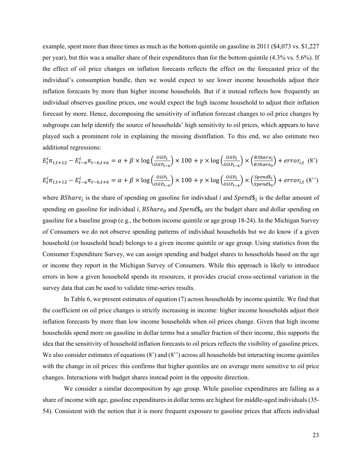example, spent more than three times as much as the bottom quintile on gasoline in 2011 (\$4,073 vs. \$1,227 per year), but this was a smaller share of their expenditures than for the bottom quintile (4.3% vs. 5.6%). If the effect of oil price changes on inflation forecasts reflects the effect on the forecasted price of the individual's consumption bundle, then we would expect to see lower income households adjust their inflation forecasts by more than higher income households. But if it instead reflects how frequently an individual observes gasoline prices, one would expect the high income household to adjust their inflation forecast by more. Hence, decomposing the sensitivity of inflation forecast changes to oil price changes by subgroups can help identify the source of households' high sensitivity to oil prices, which appears to have played such a prominent role in explaining the missing disinflation. To this end, we also estimate two additional regressions:

$$
E_t^i \pi_{t,t+12} - E_{t-6}^i \pi_{t-6,t+6} = \alpha + \beta \times \log \left( \frac{o_{ilP_t}}{o_{ilP_{t-6}}} \right) \times 100 + \gamma \times \log \left( \frac{o_{ilP_t}}{o_{ilP_{t-6}}} \right) \times \left( \frac{g_{share_{t}}}{g_{Share_{0}}} \right) + error_{i,t} \tag{8'}
$$

$$
E_t^i \pi_{t,t+12} - E_{t-6}^i \pi_{t-6,t+6} = \alpha + \beta \times \log \left( \frac{o_{ilP_t}}{o_{ilP_{t-6}}} \right) \times 100 + \gamma \times \log \left( \frac{o_{ilP_t}}{o_{ilP_{t-6}}} \right) \times \left( \frac{Spend\mathfrak{s}_i}{Spend\mathfrak{s}_0} \right) + error_{i,t} (8'')
$$

where  $BShare_i$  is the share of spending on gasoline for individual *i* and  $Spend\$ <sub>i</sub> is the dollar amount of spending on gasoline for individual *i*,  $BShare_0$  and  $Spend\$ <sub>5</sub> are the budget share and dollar spending on gasoline for a baseline group (e.g., the bottom income quintile or age group 18-24). In the Michigan Survey of Consumers we do not observe spending patterns of individual households but we do know if a given household (or household head) belongs to a given income quintile or age group. Using statistics from the Consumer Expenditure Survey, we can assign spending and budget shares to households based on the age or income they report in the Michigan Survey of Consumers. While this approach is likely to introduce errors in how a given household spends its resources, it provides crucial cross-sectional variation in the survey data that can be used to validate time-series results.

In Table 6, we present estimates of equation (7) across households by income quintile. We find that the coefficient on oil price changes is strictly increasing in income: higher income households adjust their inflation forecasts by more than low income households when oil prices change. Given that high income households spend more on gasoline in dollar terms but a smaller fraction of their income, this supports the idea that the sensitivity of household inflation forecasts to oil prices reflects the visibility of gasoline prices. We also consider estimates of equations (8') and (8'') across all households but interacting income quintiles with the change in oil prices: this confirms that higher quintiles are on average more sensitive to oil price changes. Interactions with budget shares instead point in the opposite direction.

We consider a similar decomposition by age group. While gasoline expenditures are falling as a share of income with age, gasoline expenditures in dollar terms are highest for middle-aged individuals (35- 54). Consistent with the notion that it is more frequent exposure to gasoline prices that affects individual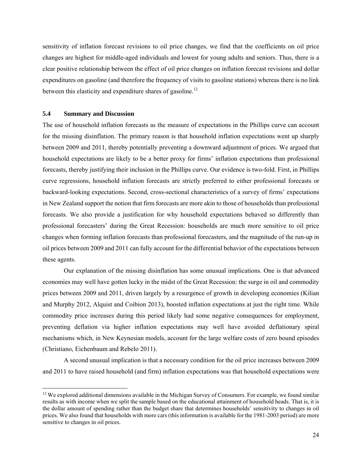sensitivity of inflation forecast revisions to oil price changes, we find that the coefficients on oil price changes are highest for middle-aged individuals and lowest for young adults and seniors. Thus, there is a clear positive relationship between the effect of oil price changes on inflation forecast revisions and dollar expenditures on gasoline (and therefore the frequency of visits to gasoline stations) whereas there is no link between this elasticity and expenditure shares of gasoline.<sup>12</sup>

#### **5.4 Summary and Discussion**

The use of household inflation forecasts as the measure of expectations in the Phillips curve can account for the missing disinflation. The primary reason is that household inflation expectations went up sharply between 2009 and 2011, thereby potentially preventing a downward adjustment of prices. We argued that household expectations are likely to be a better proxy for firms' inflation expectations than professional forecasts, thereby justifying their inclusion in the Phillips curve. Our evidence is two-fold. First, in Phillips curve regressions, household inflation forecasts are strictly preferred to either professional forecasts or backward-looking expectations. Second, cross-sectional characteristics of a survey of firms' expectations in New Zealand support the notion that firm forecasts are more akin to those of households than professional forecasts. We also provide a justification for why household expectations behaved so differently than professional forecasters' during the Great Recession: households are much more sensitive to oil price changes when forming inflation forecasts than professional forecasters, and the magnitude of the run-up in oil prices between 2009 and 2011 can fully account for the differential behavior of the expectations between these agents.

 Our explanation of the missing disinflation has some unusual implications. One is that advanced economies may well have gotten lucky in the midst of the Great Recession: the surge in oil and commodity prices between 2009 and 2011, driven largely by a resurgence of growth in developing economies (Kilian and Murphy 2012, Alquist and Coibion 2013), boosted inflation expectations at just the right time. While commodity price increases during this period likely had some negative consequences for employment, preventing deflation via higher inflation expectations may well have avoided deflationary spiral mechanisms which, in New Keynesian models, account for the large welfare costs of zero bound episodes (Christiano, Eichenbaum and Rebelo 2011).

 A second unusual implication is that a necessary condition for the oil price increases between 2009 and 2011 to have raised household (and firm) inflation expectations was that household expectations were

<sup>&</sup>lt;sup>12</sup> We explored additional dimensions available in the Michigan Survey of Consumers. For example, we found similar results as with income when we split the sample based on the educational attainment of household heads. That is, it is the dollar amount of spending rather than the budget share that determines households' sensitivity to changes in oil prices. We also found that households with more cars (this information is available for the 1981-2003 period) are more sensitive to changes in oil prices.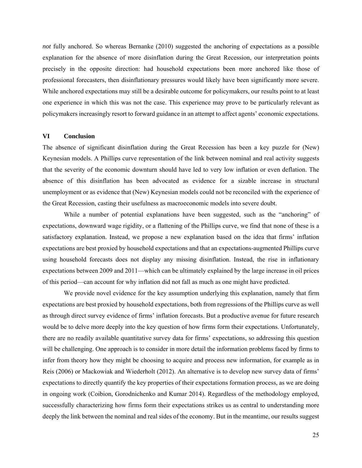*not* fully anchored. So whereas Bernanke (2010) suggested the anchoring of expectations as a possible explanation for the absence of more disinflation during the Great Recession, our interpretation points precisely in the opposite direction: had household expectations been more anchored like those of professional forecasters, then disinflationary pressures would likely have been significantly more severe. While anchored expectations may still be a desirable outcome for policymakers, our results point to at least one experience in which this was not the case. This experience may prove to be particularly relevant as policymakers increasingly resort to forward guidance in an attempt to affect agents' economic expectations.

#### **VI Conclusion**

The absence of significant disinflation during the Great Recession has been a key puzzle for (New) Keynesian models. A Phillips curve representation of the link between nominal and real activity suggests that the severity of the economic downturn should have led to very low inflation or even deflation. The absence of this disinflation has been advocated as evidence for a sizable increase in structural unemployment or as evidence that (New) Keynesian models could not be reconciled with the experience of the Great Recession, casting their usefulness as macroeconomic models into severe doubt.

 While a number of potential explanations have been suggested, such as the "anchoring" of expectations, downward wage rigidity, or a flattening of the Phillips curve, we find that none of these is a satisfactory explanation. Instead, we propose a new explanation based on the idea that firms' inflation expectations are best proxied by household expectations and that an expectations-augmented Phillips curve using household forecasts does not display any missing disinflation. Instead, the rise in inflationary expectations between 2009 and 2011—which can be ultimately explained by the large increase in oil prices of this period—can account for why inflation did not fall as much as one might have predicted.

We provide novel evidence for the key assumption underlying this explanation, namely that firm expectations are best proxied by household expectations, both from regressions of the Phillips curve as well as through direct survey evidence of firms' inflation forecasts. But a productive avenue for future research would be to delve more deeply into the key question of how firms form their expectations. Unfortunately, there are no readily available quantitative survey data for firms' expectations, so addressing this question will be challenging. One approach is to consider in more detail the information problems faced by firms to infer from theory how they might be choosing to acquire and process new information, for example as in Reis (2006) or Mackowiak and Wiederholt (2012). An alternative is to develop new survey data of firms' expectations to directly quantify the key properties of their expectations formation process, as we are doing in ongoing work (Coibion, Gorodnichenko and Kumar 2014). Regardless of the methodology employed, successfully characterizing how firms form their expectations strikes us as central to understanding more deeply the link between the nominal and real sides of the economy. But in the meantime, our results suggest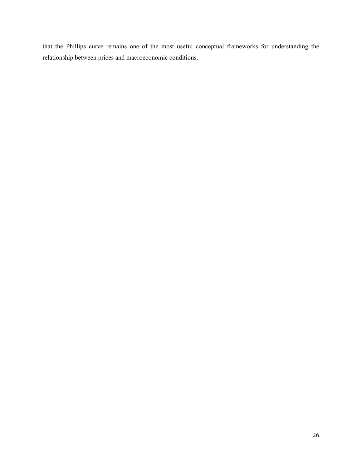that the Phillips curve remains one of the most useful conceptual frameworks for understanding the relationship between prices and macroeconomic conditions.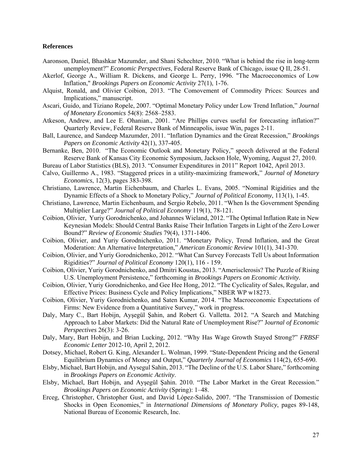#### **References**

- Aaronson, Daniel, Bhashkar Mazumder, and Shani Schechter, 2010. "What is behind the rise in long-term unemployment?" *Economic Perspectives*, Federal Reserve Bank of Chicago, issue Q II, 28-51.
- Akerlof, George A., William R. Dickens, and George L. Perry, 1996. "The Macroeconomics of Low Inflation," *Brookings Papers on Economic Activity* 27(1), 1-76.
- Alquist, Ronald, and Olivier Coibion, 2013. "The Comovement of Commodity Prices: Sources and Implications," manuscript.
- Ascari, Guido, and Tiziano Ropele, 2007. "Optimal Monetary Policy under Low Trend Inflation," *Journal of Monetary Economics* 54(8): 2568–2583.
- Atkeson, Andrew, and Lee E. Ohanian., 2001. "Are Phillips curves useful for forecasting inflation?" Quarterly Review, Federal Reserve Bank of Minneapolis, issue Win, pages 2-11.
- Ball, Laurence, and Sandeep Mazumder, 2011. "Inflation Dynamics and the Great Recession," *Brookings Papers on Economic Activity* 42(1), 337-405.
- Bernanke, Ben, 2010. "The Economic Outlook and Monetary Policy," speech delivered at the Federal Reserve Bank of Kansas City Economic Symposium, Jackson Hole, Wyoming, August 27, 2010.
- Bureau of Labor Statistics (BLS), 2013. "Consumer Expenditures in 2011" Report 1042, April 2013.
- Calvo, Guillermo A., 1983. "Staggered prices in a utility-maximizing framework," *Journal of Monetary Economics*, 12(3), pages 383-398.
- Christiano, Lawrence, Martin Eichenbaum, and Charles L. Evans, 2005. "Nominal Rigidities and the Dynamic Effects of a Shock to Monetary Policy," *Journal of Political Economy*, 113(1), 1-45.
- Christiano, Lawrence, Martin Eichenbaum, and Sergio Rebelo, 2011. "When Is the Government Spending Multiplier Large?" *Journal of Political Economy* 119(1), 78-121.
- Coibion, Olivier, Yuriy Gorodnichenko, and Johannes Wieland, 2012. "The Optimal Inflation Rate in New Keynesian Models: Should Central Banks Raise Their Inflation Targets in Light of the Zero Lower Bound?" *Review of Economic Studies* 79(4), 1371-1406.
- Coibion, Olivier, and Yuriy Gorodnichenko, 2011. "Monetary Policy, Trend Inflation, and the Great Moderation: An Alternative Interpretation," *American Economic Review* 101(1), 341-370.
- Coibion, Olivier, and Yuriy Gorodnichenko, 2012. "What Can Survey Forecasts Tell Us about Information Rigidities?" *Journal of Political Economy* 120(1), 116 - 159.
- Coibion, Olivier, Yuriy Gorodnichenko, and Dmitri Koustas, 2013. "Amerisclerosis? The Puzzle of Rising U.S. Unemployment Persistence," forthcoming in *Brookings Papers on Economic Activity.*
- Coibion, Olivier, Yuriy Gorodnichenko, and Gee Hee Hong, 2012. "The Cyclicality of Sales, Regular, and Effective Prices: Business Cycle and Policy Implications," NBER WP w18273.
- Coibion, Olivier, Yuriy Gorodnichenko, and Saten Kumar, 2014. "The Macroeconomic Expectations of Firms: New Evidence from a Quantitative Survey," work in progress.
- Daly, Mary C., Bart Hobijn, Ayşegül Şahin, and Robert G. Valletta. 2012. "A Search and Matching Approach to Labor Markets: Did the Natural Rate of Unemployment Rise?" Jo*urnal of Economic Perspectives* 26(3): 3-26.
- Daly, Mary, Bart Hobijn, and Brian Lucking, 2012. "Why Has Wage Growth Stayed Strong?" *FRBSF Economic Letter* 2012-10, April 2, 2012.
- Dotsey, Michael, Robert G. King, Alexander L. Wolman, 1999. "State-Dependent Pricing and the General Equilibrium Dynamics of Money and Output," *Quarterly Journal of Economics* 114(2), 655-690.
- Elsby, Michael, Bart Hobijn, and Aysegul Sahin, 2013. "The Decline of the U.S. Labor Share," forthcoming in *Brookings Papers on Economic Activity*.
- Elsby, Michael, Bart Hobijn, and Ayşegül Şahin. 2010. "The Labor Market in the Great Recession." *Brookings Papers on Economic Activity* (Spring): 1–48.
- Erceg, Christopher, Christopher Gust, and David López-Salido, 2007. "The Transmission of Domestic Shocks in Open Economies," in *International Dimensions of Monetary Policy*, pages 89-148, National Bureau of Economic Research, Inc.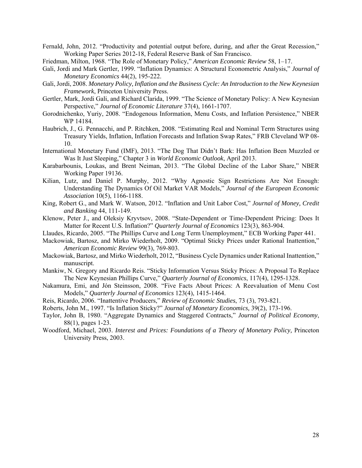Fernald, John, 2012. "Productivity and potential output before, during, and after the Great Recession," Working Paper Series 2012-18, Federal Reserve Bank of San Francisco.

- Friedman, Milton, 1968. "The Role of Monetary Policy," *American Economic Review* 58, 1–17.
- Gali, Jordi and Mark Gertler, 1999. "Inflation Dynamics: A Structural Econometric Analysis," *Journal of Monetary Economics* 44(2), 195-222.
- Gali, Jordi, 2008. *Monetary Policy, Inflation and the Business Cycle: An Introduction to the New Keynesian Framework*, Princeton University Press.
- Gertler, Mark, Jordi Gali, and Richard Clarida, 1999. "The Science of Monetary Policy: A New Keynesian Perspective," *Journal of Economic Literature* 37(4), 1661-1707.
- Gorodnichenko, Yuriy, 2008. "Endogenous Information, Menu Costs, and Inflation Persistence," NBER WP 14184.
- Haubrich, J., G. Pennacchi, and P. Ritchken, 2008. "Estimating Real and Nominal Term Structures using Treasury Yields, Inflation, Inflation Forecasts and Inflation Swap Rates," FRB Cleveland WP 08- 10.
- International Monetary Fund (IMF), 2013. "The Dog That Didn't Bark: Has Inflation Been Muzzled or Was It Just Sleeping," Chapter 3 in *World Economic Outlook*, April 2013.
- Karabarbounis, Loukas, and Brent Neiman, 2013. "The Global Decline of the Labor Share," NBER Working Paper 19136.
- Kilian, Lutz, and Daniel P. Murphy, 2012. "Why Agnostic Sign Restrictions Are Not Enough: Understanding The Dynamics Of Oil Market VAR Models," *Journal of the European Economic Association* 10(5), 1166-1188.
- King, Robert G., and Mark W. Watson, 2012. "Inflation and Unit Labor Cost," *Journal of Money, Credit and Banking* 44, 111-149.
- Klenow, Peter J., and Oleksiy Kryvtsov, 2008. "State-Dependent or Time-Dependent Pricing: Does It Matter for Recent U.S. Inflation?" *Quarterly Journal of Economics* 123(3), 863-904.
- Llaudes, Ricardo, 2005. "The Phillips Curve and Long Term Unemployment," ECB Working Paper 441.
- Mackowiak, Bartosz, and Mirko Wiederholt, 2009. "Optimal Sticky Prices under Rational Inattention," *American Economic Review* 99(3), 769-803.
- Mackowiak, Bartosz, and Mirko Wiederholt, 2012, "Business Cycle Dynamics under Rational Inattention," manuscript.
- Mankiw, N. Gregory and Ricardo Reis. "Sticky Information Versus Sticky Prices: A Proposal To Replace The New Keynesian Phillips Curve," *Quarterly Journal of Economics*, 117(4), 1295-1328.
- Nakamura, Emi, and Jón Steinsson, 2008. "Five Facts About Prices: A Reevaluation of Menu Cost Models," *Quarterly Journal of Economics* 123(4), 1415-1464.
- Reis, Ricardo, 2006. "Inattentive Producers," *Review of Economic Studies*, 73 (3), 793-821.
- Roberts, John M., 1997. "Is Inflation Sticky?" *Journal of Monetary Economics,* 39(2), 173-196.
- Taylor, John B, 1980. "Aggregate Dynamics and Staggered Contracts," *Journal of Political Economy*, 88(1), pages 1-23.
- Woodford, Michael, 2003. *Interest and Prices: Foundations of a Theory of Monetary Policy,* Princeton University Press, 2003.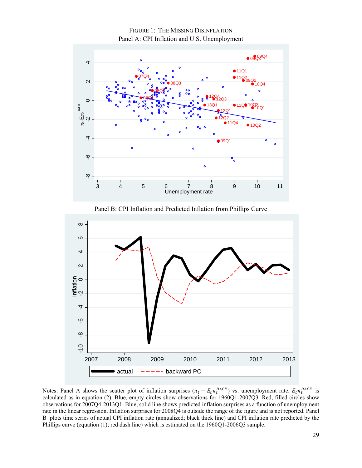

Panel B: CPI Inflation and Predicted Inflation from Phillips Curve



Notes: Panel A shows the scatter plot of inflation surprises  $(\pi_t - E_t \pi_t^{BACK})$  vs. unemployment rate.  $E_t \pi_t^{BACK}$  is calculated as in equation (2). Blue, empty circles show observations for 1960Q1-2007Q3. Red, filled circles show observations for 2007Q4-2013Q1. Blue, solid line shows predicted inflation surprises as a function of unemployment rate in the linear regression. Inflation surprises for 2008Q4 is outside the range of the figure and is not reported. Panel B plots time series of actual CPI inflation rate (annualized; black thick line) and CPI inflation rate predicted by the Phillips curve (equation (1); red dash line) which is estimated on the 1960Q1-2006Q3 sample.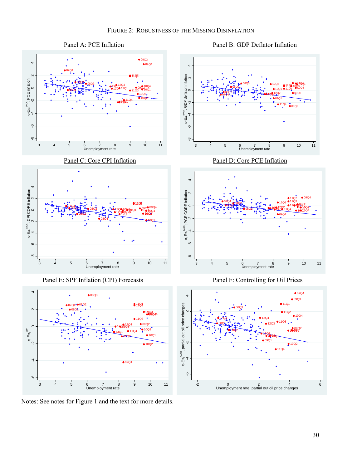





Notes: See notes for Figure 1 and the text for more details.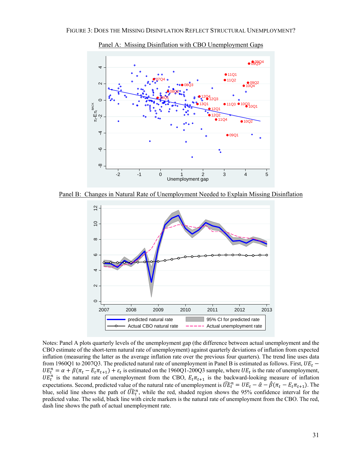

Panel A: Missing Disinflation with CBO Unemployment Gaps

Panel B: Changes in Natural Rate of Unemployment Needed to Explain Missing Disinflation



Notes: Panel A plots quarterly levels of the unemployment gap (the difference between actual unemployment and the CBO estimate of the short-term natural rate of unemployment) against quarterly deviations of inflation from expected inflation (measuring the latter as the average inflation rate over the previous four quarters). The trend line uses data from 1960Q1 to 2007Q3. The predicted natural rate of unemployment in Panel B is estimated as follows. First,  $UE_t$  –  $UE_t^n = \alpha + \beta(\pi_t - E_t \pi_{t+1}) + \varepsilon_t$  is estimated on the 1960Q1-200Q3 sample, where  $UE_t$  is the rate of unemployment, UE<sup>n</sup> is the natural rate of unemployment from the CBO,  $E_t \pi_{t+1}$  is the backward-looking measure of inflation expectations. Second, predicted value of the natural rate of unemployment is  $\widehat{UE}_t^n = UE_t - \hat{\alpha} - \hat{\beta}(\pi_t - E_t \pi_{t+1})$ . The blue, solid line shows the path of  $\widehat{UE}_t^n$ , while the red, shaded region shows the 95% confidence interval for the predicted value. The solid, black line with circle markers is the natural rate of unemployment from the CBO. The red, dash line shows the path of actual unemployment rate.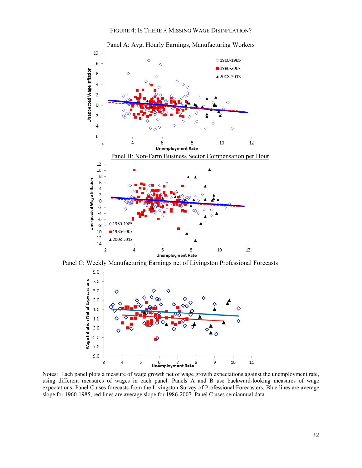FIGURE 4: IS THERE A MISSING WAGE DISINFLATION?



Panel C: Weekly Manufacturing Earnings net of Livingston Professional Forecasts



Notes: Each panel plots a measure of wage growth net of wage growth expectations against the unemployment rate, using different measures of wages in each panel. Panels A and B use backward-looking measures of wage expectations. Panel C uses forecasts from the Livingston Survey of Professional Forecasters. Blue lines are average slope for 1960-1985, red lines are average slope for 1986-2007. Panel C uses semiannual data.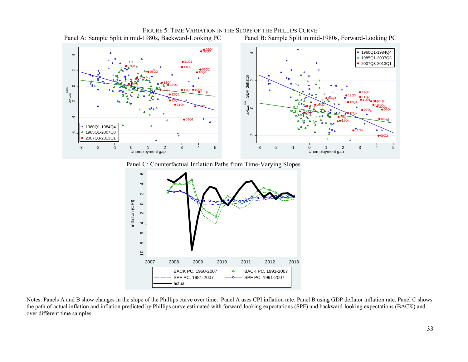

FIGURE 5: TIME VARIATION IN THE SLOPE OF THE PHILLIPS CURVE

Notes: Panels A and B show changes in the slope of the Phillips curve over time. Panel A uses CPI inflation rate. Panel B using GDP deflator inflation rate. Panel C shows the path of actual inflation and inflation predicted by Phillips curve estimated with forward-looking expectations (SPF) and backward-looking expectations (BACK) and over different time samples.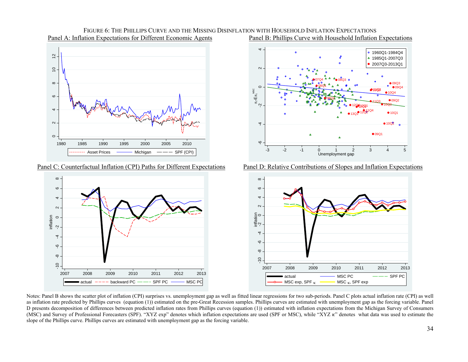

Panel C: Counterfactual Inflation (CPI) Paths for Different Expectations Panel D: Relative Contributions of Slopes and Inflation Expectations









Notes: Panel B shows the scatter plot of inflation (CPI) surprises vs. unemployment gap as well as fitted linear regressions for two sub-periods. Panel C plots actual inflation rate (CPI) as well as inflation rate predicted by Phillips curves (equation (1)) estimated on the pre-Great Recession samples. Phillips curves are estimated with unemployment gap as the forcing variable. Panel D presents decomposition of differences between predicted inflation rates from Phillips curves (equation (1)) estimated with inflation expectations from the Michigan Survey of Consumers (MSC) and Survey of Professional Forecasters (SPF). "XYZ exp" denotes which inflation expectations are used (SPF or MSC), while "XYZ  $\kappa$ " denotes what data was used to estimate the slope of the Phillips curve. Phillips curves are estimated with unemployment gap as the forcing variable.

FIGURE 6: THE PHILLIPS CURVE AND THE MISSING DISINFLATION WITH HOUSEHOLD INFLATION EXPECTATIONS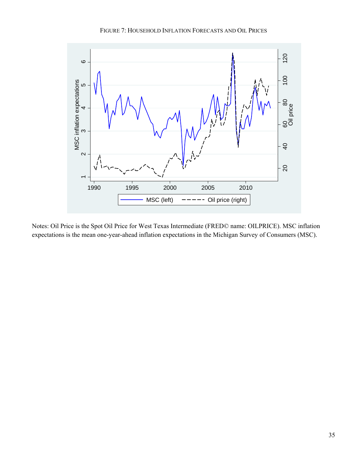

FIGURE 7: HOUSEHOLD INFLATION FORECASTS AND OIL PRICES

Notes: Oil Price is the Spot Oil Price for West Texas Intermediate (FRED© name: OILPRICE). MSC inflation expectations is the mean one-year-ahead inflation expectations in the Michigan Survey of Consumers (MSC).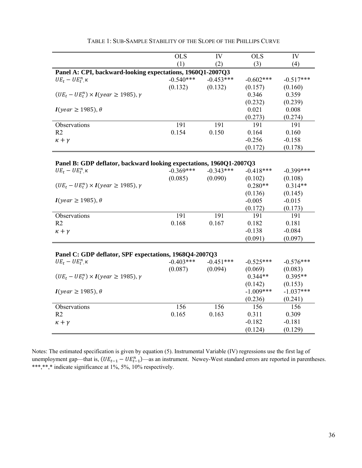|                                                                     | <b>OLS</b>  | IV          | <b>OLS</b>           | IV                   |  |  |  |  |  |  |
|---------------------------------------------------------------------|-------------|-------------|----------------------|----------------------|--|--|--|--|--|--|
|                                                                     | (1)         | (2)         | (3)                  | (4)                  |  |  |  |  |  |  |
| Panel A: CPI, backward-looking expectations, 1960Q1-2007Q3          |             |             |                      |                      |  |  |  |  |  |  |
| $UE_t - UE_t^n$ $\kappa$                                            | $-0.540***$ | $-0.453***$ | $-0.602***$          | $-0.517***$          |  |  |  |  |  |  |
|                                                                     | (0.132)     | (0.132)     | (0.157)              | (0.160)              |  |  |  |  |  |  |
| $(UE_t - UE_t^n) \times I(year \ge 1985), \gamma$                   |             |             | 0.346                | 0.359                |  |  |  |  |  |  |
|                                                                     |             |             | (0.232)              | (0.239)              |  |  |  |  |  |  |
| $I(year \ge 1985), \theta$                                          |             |             | 0.021                | 0.008                |  |  |  |  |  |  |
|                                                                     |             |             | (0.273)              | (0.274)              |  |  |  |  |  |  |
| Observations                                                        | 191         | 191         | 191                  | 191                  |  |  |  |  |  |  |
| R <sub>2</sub>                                                      | 0.154       | 0.150       | 0.164                | 0.160                |  |  |  |  |  |  |
| $\kappa + \gamma$                                                   |             |             | $-0.256$             | $-0.158$             |  |  |  |  |  |  |
|                                                                     |             |             | (0.172)              | (0.178)              |  |  |  |  |  |  |
|                                                                     |             |             |                      |                      |  |  |  |  |  |  |
| Panel B: GDP deflator, backward looking expectations, 1960Q1-2007Q3 |             |             |                      |                      |  |  |  |  |  |  |
| $UE_t - UE_t^n$ , $\kappa$                                          | $-0.369***$ | $-0.343***$ | $-0.418***$          | $-0.399***$          |  |  |  |  |  |  |
|                                                                     | (0.085)     | (0.090)     | (0.102)              | (0.108)              |  |  |  |  |  |  |
| $(UE_t - UE_t^n) \times I(year \ge 1985), \gamma$                   |             |             | $0.280**$            | $0.314**$            |  |  |  |  |  |  |
|                                                                     |             |             | (0.136)              | (0.145)              |  |  |  |  |  |  |
| $I(year \ge 1985), \theta$                                          |             |             | $-0.005$             | $-0.015$             |  |  |  |  |  |  |
|                                                                     |             |             | (0.172)              | (0.173)              |  |  |  |  |  |  |
| Observations                                                        | 191         | 191         | 191                  | 191                  |  |  |  |  |  |  |
| R <sub>2</sub>                                                      | 0.168       | 0.167       | 0.182                | 0.181                |  |  |  |  |  |  |
| $\kappa + \gamma$                                                   |             |             | $-0.138$             | $-0.084$             |  |  |  |  |  |  |
|                                                                     |             |             | (0.091)              | (0.097)              |  |  |  |  |  |  |
|                                                                     |             |             |                      |                      |  |  |  |  |  |  |
| Panel C: GDP deflator, SPF expectations, 1968Q4-2007Q3              |             | $-0.451***$ |                      |                      |  |  |  |  |  |  |
| $UE_t - UE_t^n$ , $\kappa$                                          | $-0.403***$ |             | $-0.525***$          | $-0.576***$          |  |  |  |  |  |  |
| $(UE_t - UE_t^n) \times I(year \ge 1985), \gamma$                   | (0.087)     | (0.094)     | (0.069)<br>$0.344**$ | (0.083)<br>$0.395**$ |  |  |  |  |  |  |
|                                                                     |             |             | (0.142)              | (0.153)              |  |  |  |  |  |  |
| $I(year \ge 1985), \theta$                                          |             |             | $-1.009***$          | $-1.037***$          |  |  |  |  |  |  |
|                                                                     |             |             | (0.236)              | (0.241)              |  |  |  |  |  |  |
| Observations                                                        | 156         | 156         | 156                  | 156                  |  |  |  |  |  |  |
| R <sub>2</sub>                                                      | 0.165       | 0.163       | 0.311                | 0.309                |  |  |  |  |  |  |
| $\kappa + \gamma$                                                   |             |             | $-0.182$             | $-0.181$             |  |  |  |  |  |  |
|                                                                     |             |             | (0.124)              | (0.129)              |  |  |  |  |  |  |
|                                                                     |             |             |                      |                      |  |  |  |  |  |  |

TABLE 1: SUB-SAMPLE STABILITY OF THE SLOPE OF THE PHILLIPS CURVE

Notes: The estimated specification is given by equation (5). Instrumental Variable (IV) regressions use the first lag of unemployment gap—that is,  $(UE_{t-1} - UE_{t-1}^n)$ —as an instrument. Newey-West standard errors are reported in parentheses. \*\*\*,\*\*\*,\* indicate significance at 1%, 5%, 10% respectively.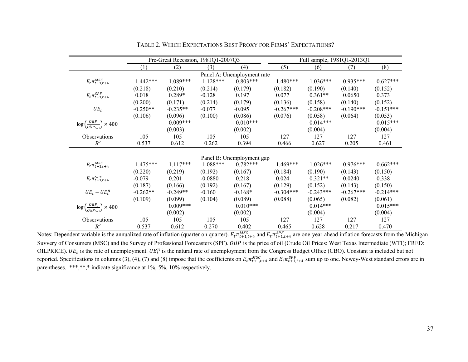|                                                         | Pre-Great Recession, 1981Q1-2007Q3 |            |            |                            |             | Full sample, 1981Q1-2013Q1 |             |             |  |
|---------------------------------------------------------|------------------------------------|------------|------------|----------------------------|-------------|----------------------------|-------------|-------------|--|
|                                                         | (1)                                | (2)        | (3)        | (4)                        | (5)         | (6)                        | (7)         | (8)         |  |
|                                                         |                                    |            |            | Panel A: Unemployment rate |             |                            |             |             |  |
| $E_t \pi_{t+1,t+4}^{MSC}$                               | $1.442***$                         | $1.089***$ | $1.128***$ | $0.803***$                 | $1.480***$  | $1.036***$                 | $0.935***$  | $0.627***$  |  |
|                                                         | (0.218)                            | (0.210)    | (0.214)    | (0.179)                    | (0.182)     | (0.190)                    | (0.140)     | (0.152)     |  |
| $E_t \pi_{t+1,t+4}^{SPF}$                               | 0.018                              | $0.289*$   | $-0.128$   | 0.197                      | 0.077       | $0.361**$                  | 0.0650      | 0.373       |  |
|                                                         | (0.200)                            | (0.171)    | (0.214)    | (0.179)                    | (0.136)     | (0.158)                    | (0.140)     | (0.152)     |  |
| $UE_t$                                                  | $-0.250**$                         | $-0.235**$ | $-0.077$   | $-0.095$                   | $-0.267***$ | $-0.208***$                | $-0.190***$ | $-0.151***$ |  |
|                                                         | (0.106)                            | (0.096)    | (0.100)    | (0.086)                    | (0.076)     | (0.058)                    | (0.064)     | (0.053)     |  |
| $\log\left(\frac{OilP_t}{OilP_{t-1}}\right) \times 400$ |                                    | $0.009***$ |            | $0.010***$                 |             | $0.014***$                 |             | $0.015***$  |  |
|                                                         |                                    | (0.003)    |            | (0.002)                    |             | (0.004)                    |             | (0.004)     |  |
| Observations                                            | 105                                | 105        | 105        | 105                        | 127         | 127                        | 127         | 127         |  |
| $R^2$                                                   | 0.537                              | 0.612      | 0.262      | 0.394                      | 0.466       | 0.627                      | 0.205       | 0.461       |  |
|                                                         |                                    |            |            |                            |             |                            |             |             |  |
|                                                         |                                    |            |            | Panel B: Unemployment gap  |             |                            |             |             |  |
| $E_t \pi_{t+1,t+4}^{MSC}$                               | $1.475***$                         | $1.117***$ | $1.088***$ | $0.782***$                 | $1.469***$  | $1.026***$                 | $0.976***$  | $0.662***$  |  |
|                                                         | (0.220)                            | (0.219)    | (0.192)    | (0.167)                    | (0.184)     | (0.190)                    | (0.143)     | (0.150)     |  |
| $E_t \pi_{t+1,t+4}^{SPF}$                               | $-0.079$                           | 0.201      | $-0.0880$  | 0.218                      | 0.024       | $0.321**$                  | 0.0240      | 0.338       |  |
|                                                         | (0.187)                            | (0.166)    | (0.192)    | (0.167)                    | (0.129)     | (0.152)                    | (0.143)     | (0.150)     |  |
| $UE_t - UE_t^n$                                         | $-0.262**$                         | $-0.249**$ | $-0.160$   | $-0.168*$                  | $-0.304***$ | $-0.243***$                | $-0.267***$ | $-0.214***$ |  |
|                                                         | (0.109)                            | (0.099)    | (0.104)    | (0.089)                    | (0.088)     | (0.065)                    | (0.082)     | (0.061)     |  |
| $\log\left(\frac{OilP_t}{OilP_{t-1}}\right) \times 400$ |                                    | $0.009***$ |            | $0.010***$                 |             | $0.014***$                 |             | $0.015***$  |  |
|                                                         |                                    | (0.002)    |            | (0.002)                    |             | (0.004)                    |             | (0.004)     |  |
| Observations                                            | 105                                | 105        | 105        | 105                        | 127         | 127                        | 127         | 127         |  |
| $R^2$                                                   | 0.537                              | 0.612      | 0.270      | 0.402                      | 0.465       | 0.628                      | 0.217       | 0.470       |  |

TABLE 2. WHICH EXPECTATIONS BEST PROXY FOR FIRMS' EXPECTATIONS?

Notes: Dependent variable is the annualized rate of inflation (quarter on quarter).  $E_t \pi_{t+1,t+4}^{MSC}$  and  $E_t \pi_{t+1,t+4}^{SPF}$  are one-year-ahead inflation forecasts from the Michigan Suvvery of Consumers (MSC) and the Survey of Professional Forecasters (SPF). OilP is the price of oil (Crude Oil Prices: West Texas Intermediate (WTI); FRED: OILPRICE). UE<sub>t</sub> is the rate of unemployment. UE<sup>n</sup> is the natural rate of unemployment from the Congress Budget Office (CBO). Constant is included but not reported. Specifications in columns (3), (4), (7) and (8) impose that the coefficients on  $E_t \pi_{t+1,t+4}^{MSC}$  and  $E_t \pi_{t+1,t+4}^{SPF}$  sum up to one. Newey-West standard errors are in parentheses. \*\*\*,\*\*,\* indicate significance at 1%, 5%, 10% respectively.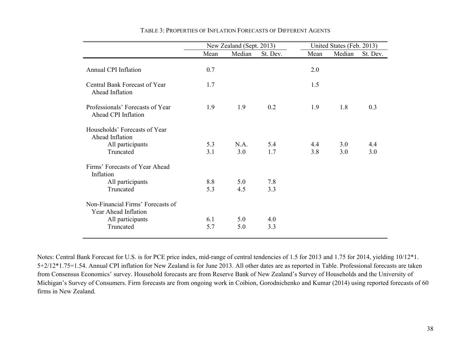|                                                           | New Zealand (Sept. 2013) |        |          |      | United States (Feb. 2013) |          |
|-----------------------------------------------------------|--------------------------|--------|----------|------|---------------------------|----------|
|                                                           | Mean                     | Median | St. Dev. | Mean | Median                    | St. Dev. |
| <b>Annual CPI Inflation</b>                               | 0.7                      |        |          | 2.0  |                           |          |
| Central Bank Forecast of Year<br>Ahead Inflation          | 1.7                      |        |          | 1.5  |                           |          |
| Professionals' Forecasts of Year<br>Ahead CPI Inflation   | 1.9                      | 1.9    | 0.2      | 1.9  | 1.8                       | 0.3      |
| Households' Forecasts of Year<br>Ahead Inflation          |                          |        |          |      |                           |          |
| All participants                                          | 5.3                      | NA.    | 5.4      | 4.4  | 3.0                       | 4.4      |
| Truncated                                                 | 3.1                      | 3.0    | 1.7      | 3.8  | 3.0                       | 3.0      |
| Firms' Forecasts of Year Ahead<br>Inflation               |                          |        |          |      |                           |          |
| All participants                                          | 8.8                      | 5.0    | 7.8      |      |                           |          |
| Truncated                                                 | 5.3                      | 4.5    | 3.3      |      |                           |          |
| Non-Financial Firms' Forecasts of<br>Year Ahead Inflation |                          |        |          |      |                           |          |
| All participants                                          | 6.1                      | 5.0    | 4.0      |      |                           |          |
| Truncated                                                 | 5.7                      | 5.0    | 3.3      |      |                           |          |
|                                                           |                          |        |          |      |                           |          |

TABLE 3: PROPERTIES OF INFLATION FORECASTS OF DIFFERENT AGENTS

Notes: Central Bank Forecast for U.S. is for PCE price index, mid-range of central tendencies of 1.5 for 2013 and 1.75 for 2014, yielding 10/12\*1. 5+2/12\*1.75=1.54. Annual CPI inflation for New Zealand is for June 2013. All other dates are as reported in Table. Professional forecasts are taken from Consensus Economics' survey. Household forecasts are from Reserve Bank of New Zealand's Survey of Households and the University of Michigan's Survey of Consumers. Firm forecasts are from ongoing work in Coibion, Gorodnichenko and Kumar (2014) using reported forecasts of 60 firms in New Zealand.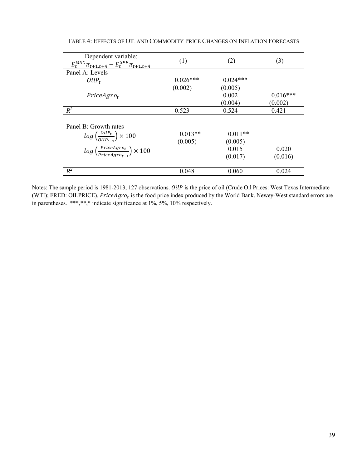| Dependent variable:<br>$E_t^{MSC} \pi_{t+1,t+4} - E_t^{SPF} \pi_{t+1,t+4}$                                                                      | (1)                  | (2)                                      | (3)              |
|-------------------------------------------------------------------------------------------------------------------------------------------------|----------------------|------------------------------------------|------------------|
| Panel A: Levels                                                                                                                                 |                      |                                          |                  |
| $OilP_t$                                                                                                                                        | $0.026***$           | $0.024***$                               |                  |
|                                                                                                                                                 | (0.002)              | (0.005)                                  |                  |
| PriceAgro <sub>t</sub>                                                                                                                          |                      | 0.002                                    | $0.016***$       |
|                                                                                                                                                 |                      | (0.004)                                  | (0.002)          |
| $R^2$                                                                                                                                           | 0.523                | 0.524                                    | 0.421            |
| Panel B: Growth rates<br>$log\left(\frac{OilP_t}{OilP_{t-1}}\right) \times 100$<br>$log\left(\frac{PriceAgro_t}{PriceAgro_t}\right) \times 100$ | $0.013**$<br>(0.005) | $0.011**$<br>(0.005)<br>0.015<br>(0.017) | 0.020<br>(0.016) |
| $R^2$                                                                                                                                           | 0.048                | 0.060                                    | 0.024            |

TABLE 4: EFFECTS OF OIL AND COMMODITY PRICE CHANGES ON INFLATION FORECASTS

Notes: The sample period is 1981-2013, 127 observations. OilP is the price of oil (Crude Oil Prices: West Texas Intermediate (WTI); FRED: OILPRICE). PriceAgro<sub>t</sub> is the food price index produced by the World Bank. Newey-West standard errors are in parentheses. \*\*\*,\*\*,\* indicate significance at 1%, 5%, 10% respectively.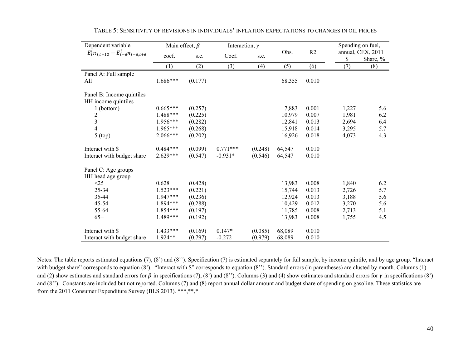| Dependent variable                             | Main effect, $\beta$ |         | Interaction, $\gamma$ |         |        |       |       | Spending on fuel, |  |
|------------------------------------------------|----------------------|---------|-----------------------|---------|--------|-------|-------|-------------------|--|
| $E_t^i \pi_{t,t+12} - E_{t-6}^i \pi_{t-6,t+6}$ | coef.                | s.e.    | Coef.                 | s.e.    | Obs.   | R2    |       | annual, CEX, 2011 |  |
|                                                |                      |         |                       |         |        |       | \$    | Share, %          |  |
|                                                | (1)                  | (2)     | (3)                   | (4)     | (5)    | (6)   | (7)   | (8)               |  |
| Panel A: Full sample                           |                      |         |                       |         |        |       |       |                   |  |
| All                                            | 1.686***             | (0.177) |                       |         | 68,355 | 0.010 |       |                   |  |
|                                                |                      |         |                       |         |        |       |       |                   |  |
| Panel B: Income quintiles                      |                      |         |                       |         |        |       |       |                   |  |
| HH income quintiles                            |                      |         |                       |         |        |       |       |                   |  |
| 1 (bottom)                                     | $0.665***$           | (0.257) |                       |         | 7,883  | 0.001 | 1,227 | 5.6               |  |
| $\overline{c}$                                 | 1.488***             | (0.225) |                       |         | 10,979 | 0.007 | 1,981 | 6.2               |  |
| $\overline{\mathbf{3}}$                        | 1.956***             | (0.282) |                       |         | 12,841 | 0.013 | 2,694 | 6.4               |  |
| $\overline{\mathcal{A}}$                       | 1.965***             | (0.268) |                       |         | 15,918 | 0.014 | 3,295 | 5.7               |  |
| $5$ (top)                                      | 2.066***             | (0.202) |                       |         | 16,926 | 0.018 | 4,073 | 4.3               |  |
| Interact with \$                               | $0.484***$           | (0.099) | $0.771***$            | (0.248) | 64,547 | 0.010 |       |                   |  |
| Interact with budget share                     | $2.629***$           | (0.547) | $-0.931*$             | (0.546) | 64,547 | 0.010 |       |                   |  |
| Panel C: Age groups                            |                      |         |                       |         |        |       |       |                   |  |
| HH head age group                              |                      |         |                       |         |        |       |       |                   |  |
| $<$ 25                                         | 0.628                | (0.428) |                       |         | 13,983 | 0.008 | 1,840 | 6.2               |  |
| $25 - 34$                                      | $1.523***$           | (0.221) |                       |         | 15,744 | 0.013 | 2,726 | 5.7               |  |
| 35-44                                          | 1.947***             | (0.236) |                       |         | 12,924 | 0.013 | 3,188 | 5.6               |  |
| $45 - 54$                                      | 1.894***             | (0.288) |                       |         | 10,429 | 0.012 | 3,270 | 5.6               |  |
| 55-64                                          | 1.854***             | (0.197) |                       |         | 11,785 | 0.008 | 2,713 | 5.1               |  |
| $65+$                                          | 1.489***             | (0.192) |                       |         | 13,983 | 0.008 | 1,755 | 4.5               |  |
|                                                |                      |         |                       |         |        |       |       |                   |  |
| Interact with \$                               | $1.433***$           | (0.169) | $0.147*$              | (0.085) | 68,089 | 0.010 |       |                   |  |
| Interact with budget share                     | 1.924**              | (0.797) | $-0.272$              | (0.979) | 68,089 | 0.010 |       |                   |  |

|  |  |  | TABLE 5: SENSITIVITY OF REVISIONS IN INDIVIDUALS' INFLATION EXPECTATIONS TO CHANGES IN OIL PRICES |  |
|--|--|--|---------------------------------------------------------------------------------------------------|--|
|--|--|--|---------------------------------------------------------------------------------------------------|--|

Notes: The table reports estimated equations (7), (8') and (8''). Specification (7) is estimated separately for full sample, by income quintile, and by age group. "Interact with budget share" corresponds to equation (8'). "Interact with \$" corresponds to equation (8''). Standard errors (in parentheses) are clusted by month. Columns (1) and (2) show estimates and standard errors for  $\beta$  in specifications (7), (8') and (8''). Columns (3) and (4) show estimates and standard errors for  $\gamma$  in specifications (8') and (8''). Constants are included but not reported. Columns (7) and (8) report annual dollar amount and budget share of spending on gasoline. These statistics are from the 2011 Consumer Expenditure Survey (BLS 2013). \*\*\*,\*\*,\*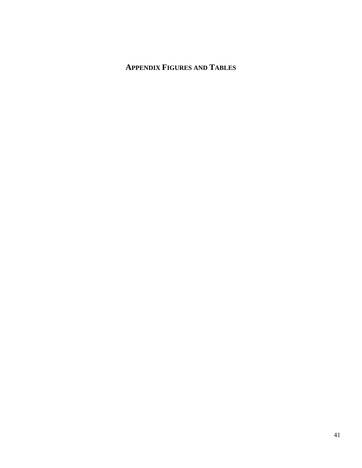## **APPENDIX FIGURES AND TABLES**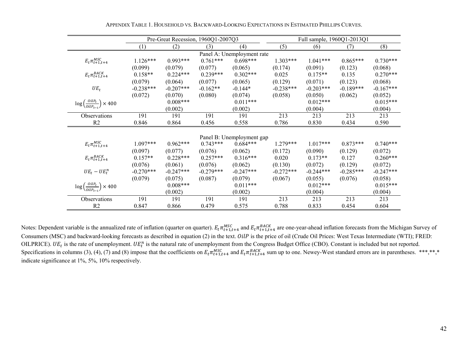|                                                         |             | Pre-Great Recession, 1960Q1-2007Q3 |             |                            |             | Full sample, 1960Q1-2013Q1 |             |             |  |
|---------------------------------------------------------|-------------|------------------------------------|-------------|----------------------------|-------------|----------------------------|-------------|-------------|--|
|                                                         | (1)         | (2)                                | (3)         | (4)                        | (5)         | (6)                        | (7)         | (8)         |  |
|                                                         |             |                                    |             | Panel A: Unemployment rate |             |                            |             |             |  |
| $E_t \pi_{t+1,t+4}^{MSC}$                               | $1.126***$  | $0.993***$                         | $0.761***$  | $0.698***$                 | $1.303***$  | $1.041***$                 | $0.865***$  | $0.730***$  |  |
|                                                         | (0.099)     | (0.079)                            | (0.077)     | (0.065)                    | (0.174)     | (0.091)                    | (0.123)     | (0.068)     |  |
| $E_t \pi_{t+1,t+4}^{BACK}$                              | $0.158**$   | $0.224***$                         | $0.239***$  | $0.302***$                 | 0.025       | $0.175**$                  | 0.135       | $0.270***$  |  |
|                                                         | (0.079)     | (0.064)                            | (0.077)     | (0.065)                    | (0.129)     | (0.071)                    | (0.123)     | (0.068)     |  |
| $UE_t$                                                  | $-0.238***$ | $-0.207***$                        | $-0.162**$  | $-0.144*$                  | $-0.238***$ | $-0.203***$                | $-0.189***$ | $-0.167***$ |  |
|                                                         | (0.072)     | (0.070)                            | (0.080)     | (0.074)                    | (0.058)     | (0.050)                    | (0.062)     | (0.052)     |  |
| $\log\left(\frac{OilP_t}{OilP_{t-1}}\right) \times 400$ |             | $0.008***$                         |             | $0.011***$                 |             | $0.012***$                 |             | $0.015***$  |  |
|                                                         |             | (0.002)                            |             | (0.002)                    |             | (0.004)                    |             | (0.004)     |  |
| Observations                                            | 191         | 191                                | 191         | 191                        | 213         | 213                        | 213         | 213         |  |
| R <sub>2</sub>                                          | 0.846       | 0.864                              | 0.456       | 0.558                      | 0.786       | 0.830                      | 0.434       | 0.590       |  |
|                                                         |             |                                    |             |                            |             |                            |             |             |  |
|                                                         |             |                                    |             | Panel B: Unemployment gap  |             |                            |             |             |  |
| $E_t \pi_{t+1,t+4}^{MSC}$                               | $1.097***$  | $0.962***$                         | $0.743***$  | $0.684***$                 | $1.279***$  | $1.017***$                 | $0.873***$  | $0.740***$  |  |
|                                                         | (0.097)     | (0.077)                            | (0.076)     | (0.062)                    | (0.172)     | (0.090)                    | (0.129)     | (0.072)     |  |
| $E_t \pi_{t+1,t+4}^{BACK}$                              | $0.157**$   | $0.228***$                         | $0.257***$  | $0.316***$                 | 0.020       | $0.173**$                  | 0.127       | $0.260***$  |  |
|                                                         | (0.076)     | (0.061)                            | (0.076)     | (0.062)                    | (0.130)     | (0.072)                    | (0.129)     | (0.072)     |  |
| $UE_t - UE_t^n$                                         | $-0.270***$ | $-0.247***$                        | $-0.279***$ | $-0.247***$                | $-0.272***$ | $-0.244***$                | $-0.285***$ | $-0.247***$ |  |
|                                                         | (0.079)     | (0.075)                            | (0.087)     | (0.079)                    | (0.067)     | (0.055)                    | (0.076)     | (0.058)     |  |
| $\log\left(\frac{OilP_t}{OilP_{t-1}}\right) \times 400$ |             | $0.008***$                         |             | $0.011***$                 |             | $0.012***$                 |             | $0.015***$  |  |
|                                                         |             | (0.002)                            |             | (0.002)                    |             | (0.004)                    |             | (0.004)     |  |
| Observations                                            | 191         | 191                                | 191         | 191                        | 213         | 213                        | 213         | 213         |  |
| R <sub>2</sub>                                          | 0.847       | 0.866                              | 0.479       | 0.575                      | 0.788       | 0.833                      | 0.454       | 0.604       |  |

APPENDIX TABLE 1. HOUSEHOLD VS. BACKWARD-LOOKING EXPECTATIONS IN ESTIMATED PHILLIPS CURVES.

Notes: Dependent variable is the annualized rate of inflation (quarter on quarter).  $E_t \pi_{t+1,t+4}^{MSC}$  and  $E_t \pi_{t+1,t+4}^{BACK}$  are one-year-ahead inflation forecasts from the Michigan Survey of Consumers (MSC) and backward-looking forecasts as described in equation (2) in the text. OilP is the price of oil (Crude Oil Prices: West Texas Intermediate (WTI); FRED: OILPRICE).  $UE_t$  is the rate of unemployment.  $UE_t^n$  is the natural rate of unemployment from the Congress Budget Office (CBO). Constant is included but not reported. Specifications in columns (3), (4), (7) and (8) impose that the coefficients on  $E_t \pi_{t+1,t+4}^{MSC}$  and  $E_t \pi_{t+1,t+4}^{BACK}$  sum up to one. Newey-West standard errors are in parentheses. \*\*\*,\*\*,\* indicate significance at 1%, 5%, 10% respectively.